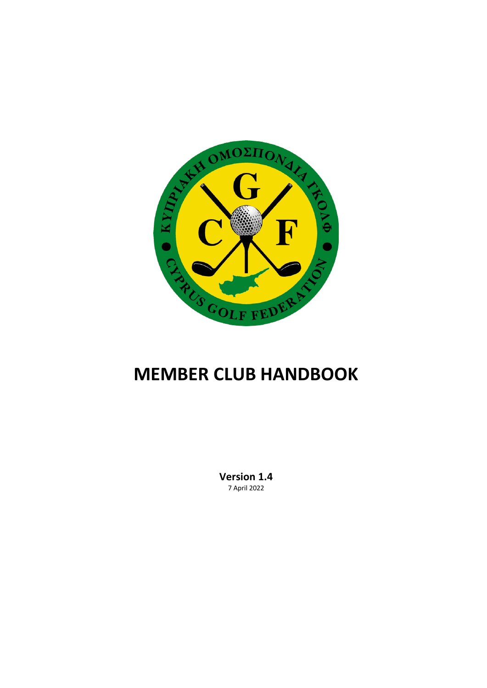

# **MEMBER CLUB HANDBOOK**

**Version 1.4** 7 April 2022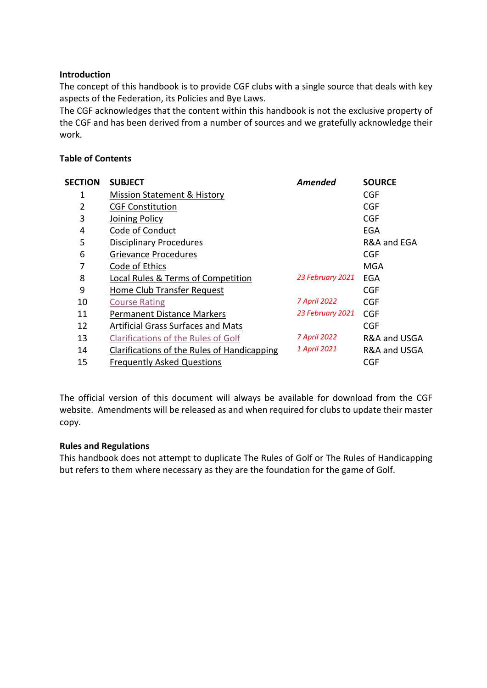## **Introduction**

The concept of this handbook is to provide CGF clubs with a single source that deals with key aspects of the Federation, its Policies and Bye Laws.

The CGF acknowledges that the content within this handbook is not the exclusive property of the CGF and has been derived from a number of sources and we gratefully acknowledge their work.

## **Table of Contents**

| <b>SECTION</b> | <b>SUBJECT</b>                              | Amended          | <b>SOURCE</b> |
|----------------|---------------------------------------------|------------------|---------------|
| 1              | Mission Statement & History                 |                  | CGF           |
| 2              | <b>CGF Constitution</b>                     |                  | <b>CGF</b>    |
| 3              | Joining Policy                              |                  | <b>CGF</b>    |
| 4              | Code of Conduct                             |                  | <b>EGA</b>    |
| 5              | <b>Disciplinary Procedures</b>              |                  | R&A and EGA   |
| 6              | <b>Grievance Procedures</b>                 |                  | <b>CGF</b>    |
| 7              | Code of Ethics                              |                  | MGA           |
| 8              | Local Rules & Terms of Competition          | 23 February 2021 | EGA           |
| 9              | Home Club Transfer Request                  |                  | <b>CGF</b>    |
| 10             | <b>Course Rating</b>                        | 7 April 2022     | <b>CGF</b>    |
| 11             | <b>Permanent Distance Markers</b>           | 23 February 2021 | <b>CGF</b>    |
| 12             | <b>Artificial Grass Surfaces and Mats</b>   |                  | <b>CGF</b>    |
| 13             | <b>Clarifications of the Rules of Golf</b>  | 7 April 2022     | R&A and USGA  |
| 14             | Clarifications of the Rules of Handicapping | 1 April 2021     | R&A and USGA  |
| 15             | <b>Frequently Asked Questions</b>           |                  | <b>CGF</b>    |

The official version of this document will always be available for download from the CGF website. Amendments will be released as and when required for clubs to update their master copy.

#### **Rules and Regulations**

This handbook does not attempt to duplicate The Rules of Golf or The Rules of Handicapping but refers to them where necessary as they are the foundation for the game of Golf.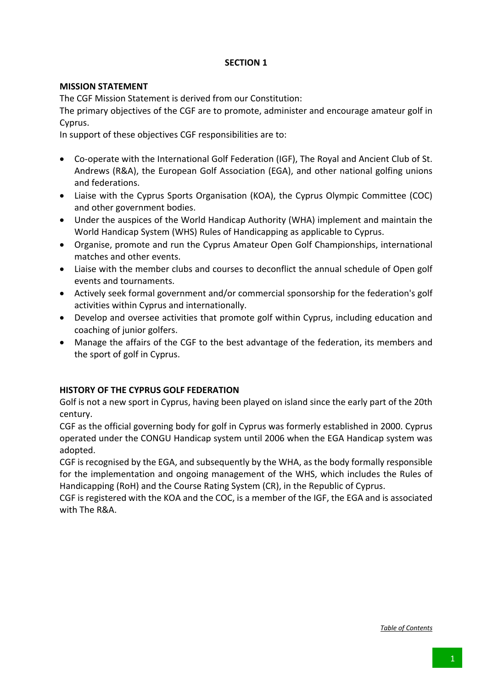## **MISSION STATEMENT**

The CGF Mission Statement is derived from our Constitution:

The primary objectives of the CGF are to promote, administer and encourage amateur golf in Cyprus.

In support of these objectives CGF responsibilities are to:

- Co-operate with the International Golf Federation (IGF), The Royal and Ancient Club of St. Andrews (R&A), the European Golf Association (EGA), and other national golfing unions and federations.
- Liaise with the Cyprus Sports Organisation (KOA), the Cyprus Olympic Committee (COC) and other government bodies.
- Under the auspices of the World Handicap Authority (WHA) implement and maintain the World Handicap System (WHS) Rules of Handicapping as applicable to Cyprus.
- Organise, promote and run the Cyprus Amateur Open Golf Championships, international matches and other events.
- Liaise with the member clubs and courses to deconflict the annual schedule of Open golf events and tournaments.
- Actively seek formal government and/or commercial sponsorship for the federation's golf activities within Cyprus and internationally.
- Develop and oversee activities that promote golf within Cyprus, including education and coaching of junior golfers.
- Manage the affairs of the CGF to the best advantage of the federation, its members and the sport of golf in Cyprus.

## **HISTORY OF THE CYPRUS GOLF FEDERATION**

Golf is not a new sport in Cyprus, having been played on island since the early part of the 20th century.

CGF as the official governing body for golf in Cyprus was formerly established in 2000. Cyprus operated under the CONGU Handicap system until 2006 when the EGA Handicap system was adopted.

CGF is recognised by the EGA, and subsequently by the WHA, as the body formally responsible for the implementation and ongoing management of the WHS, which includes the Rules of Handicapping (RoH) and the Course Rating System (CR), in the Republic of Cyprus.

CGF is registered with the KOA and the COC, is a member of the IGF, the EGA and is associated with The R&A.

*Table of Contents*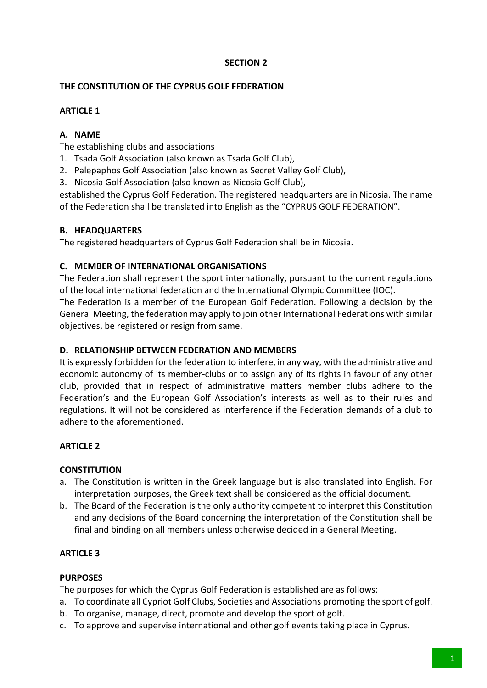## **THE CONSTITUTION OF THE CYPRUS GOLF FEDERATION**

## **ARTICLE 1**

## **A. NAME**

The establishing clubs and associations

- 1. Tsada Golf Association (also known as Tsada Golf Club),
- 2. Palepaphos Golf Association (also known as Secret Valley Golf Club),
- 3. Nicosia Golf Association (also known as Nicosia Golf Club),

established the Cyprus Golf Federation. The registered headquarters are in Nicosia. The name of the Federation shall be translated into English as the "CYPRUS GOLF FEDERATION".

## **B. HEADQUARTERS**

The registered headquarters of Cyprus Golf Federation shall be in Nicosia.

## **C. MEMBER OF INTERNATIONAL ORGANISATIONS**

The Federation shall represent the sport internationally, pursuant to the current regulations of the local international federation and the International Olympic Committee (IOC). The Federation is a member of the European Golf Federation. Following a decision by the General Meeting, the federation may apply to join other International Federations with similar objectives, be registered or resign from same.

## **D. RELATIONSHIP BETWEEN FEDERATION AND MEMBERS**

It is expressly forbidden for the federation to interfere, in any way, with the administrative and economic autonomy of its member-clubs or to assign any of its rights in favour of any other club, provided that in respect of administrative matters member clubs adhere to the Federation's and the European Golf Association's interests as well as to their rules and regulations. It will not be considered as interference if the Federation demands of a club to adhere to the aforementioned.

## **ARTICLE 2**

## **CONSTITUTION**

- a. The Constitution is written in the Greek language but is also translated into English. For interpretation purposes, the Greek text shall be considered as the official document.
- b. The Board of the Federation is the only authority competent to interpret this Constitution and any decisions of the Board concerning the interpretation of the Constitution shall be final and binding on all members unless otherwise decided in a General Meeting.

## **ARTICLE 3**

#### **PURPOSES**

The purposes for which the Cyprus Golf Federation is established are as follows:

- a. To coordinate all Cypriot Golf Clubs, Societies and Associations promoting the sport of golf.
- b. To organise, manage, direct, promote and develop the sport of golf.
- c. To approve and supervise international and other golf events taking place in Cyprus.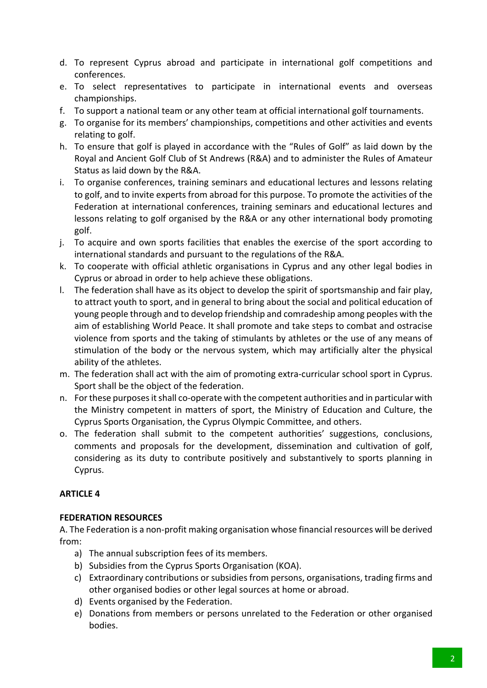- d. To represent Cyprus abroad and participate in international golf competitions and conferences.
- e. To select representatives to participate in international events and overseas championships.
- f. To support a national team or any other team at official international golf tournaments.
- g. To organise for its members' championships, competitions and other activities and events relating to golf.
- h. To ensure that golf is played in accordance with the "Rules of Golf" as laid down by the Royal and Ancient Golf Club of St Andrews (R&A) and to administer the Rules of Amateur Status as laid down by the R&A.
- i. To organise conferences, training seminars and educational lectures and lessons relating to golf, and to invite experts from abroad for this purpose. To promote the activities of the Federation at international conferences, training seminars and educational lectures and lessons relating to golf organised by the R&A or any other international body promoting golf.
- j. To acquire and own sports facilities that enables the exercise of the sport according to international standards and pursuant to the regulations of the R&A.
- k. To cooperate with official athletic organisations in Cyprus and any other legal bodies in Cyprus or abroad in order to help achieve these obligations.
- l. The federation shall have as its object to develop the spirit of sportsmanship and fair play, to attract youth to sport, and in general to bring about the social and political education of young people through and to develop friendship and comradeship among peoples with the aim of establishing World Peace. It shall promote and take steps to combat and ostracise violence from sports and the taking of stimulants by athletes or the use of any means of stimulation of the body or the nervous system, which may artificially alter the physical ability of the athletes.
- m. The federation shall act with the aim of promoting extra-curricular school sport in Cyprus. Sport shall be the object of the federation.
- n. For these purposes it shall co-operate with the competent authorities and in particular with the Ministry competent in matters of sport, the Ministry of Education and Culture, the Cyprus Sports Organisation, the Cyprus Olympic Committee, and others.
- o. The federation shall submit to the competent authorities' suggestions, conclusions, comments and proposals for the development, dissemination and cultivation of golf, considering as its duty to contribute positively and substantively to sports planning in Cyprus.

## **FEDERATION RESOURCES**

A. The Federation is a non-profit making organisation whose financial resources will be derived from:

- a) The annual subscription fees of its members.
- b) Subsidies from the Cyprus Sports Organisation (KOA).
- c) Extraordinary contributions or subsidies from persons, organisations, trading firms and other organised bodies or other legal sources at home or abroad.
- d) Events organised by the Federation.
- e) Donations from members or persons unrelated to the Federation or other organised bodies.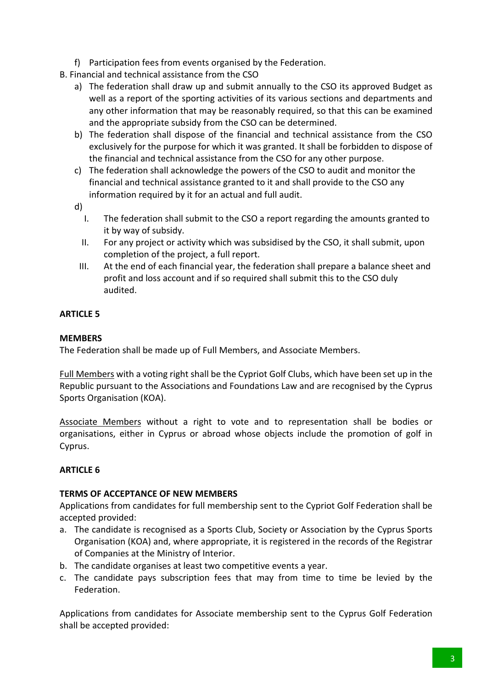- f) Participation fees from events organised by the Federation.
- Β. Financial and technical assistance from the CSO
	- a) The federation shall draw up and submit annually to the CSO its approved Budget as well as a report of the sporting activities of its various sections and departments and any other information that may be reasonably required, so that this can be examined and the appropriate subsidy from the CSO can be determined.
	- b) The federation shall dispose of the financial and technical assistance from the CSO exclusively for the purpose for which it was granted. It shall be forbidden to dispose of the financial and technical assistance from the CSO for any other purpose.
	- c) The federation shall acknowledge the powers of the CSO to audit and monitor the financial and technical assistance granted to it and shall provide to the CSO any information required by it for an actual and full audit.
	- d)
		- I. The federation shall submit to the CSO a report regarding the amounts granted to it by way of subsidy.
		- II. For any project or activity which was subsidised by the CSO, it shall submit, upon completion of the project, a full report.
		- III. At the end of each financial year, the federation shall prepare a balance sheet and profit and loss account and if so required shall submit this to the CSO duly audited.

## **MEMBERS**

The Federation shall be made up of Full Members, and Associate Members.

Full Members with a voting right shall be the Cypriot Golf Clubs, which have been set up in the Republic pursuant to the Associations and Foundations Law and are recognised by the Cyprus Sports Organisation (KOA).

Associate Members without a right to vote and to representation shall be bodies or organisations, either in Cyprus or abroad whose objects include the promotion of golf in Cyprus.

## **ARTICLE 6**

## **TERMS OF ACCEPTANCE OF NEW MEMBERS**

Applications from candidates for full membership sent to the Cypriot Golf Federation shall be accepted provided:

- a. The candidate is recognised as a Sports Club, Society or Association by the Cyprus Sports Organisation (KOA) and, where appropriate, it is registered in the records of the Registrar of Companies at the Ministry of Interior.
- b. The candidate organises at least two competitive events a year.
- c. The candidate pays subscription fees that may from time to time be levied by the Federation.

Applications from candidates for Associate membership sent to the Cyprus Golf Federation shall be accepted provided: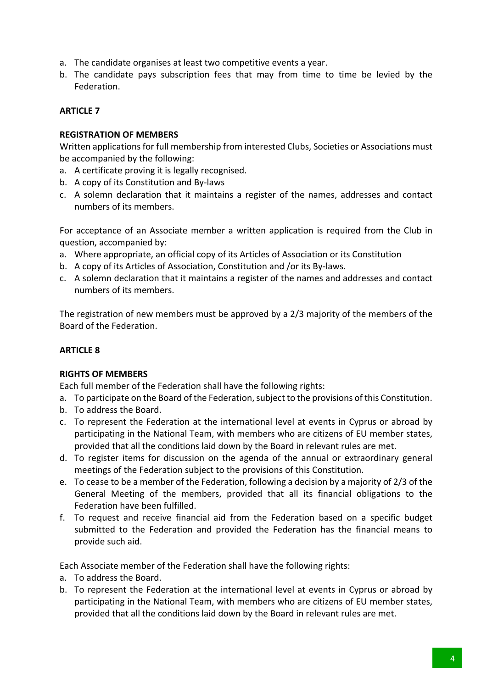- a. The candidate organises at least two competitive events a year.
- b. The candidate pays subscription fees that may from time to time be levied by the Federation.

### **REGISTRATION OF MEMBERS**

Written applications for full membership from interested Clubs, Societies or Associations must be accompanied by the following:

- a. A certificate proving it is legally recognised.
- b. A copy of its Constitution and By-laws
- c. A solemn declaration that it maintains a register of the names, addresses and contact numbers of its members.

For acceptance of an Associate member a written application is required from the Club in question, accompanied by:

- a. Where appropriate, an official copy of its Articles of Association or its Constitution
- b. A copy of its Articles of Association, Constitution and /or its By-laws.
- c. A solemn declaration that it maintains a register of the names and addresses and contact numbers of its members.

The registration of new members must be approved by a 2/3 majority of the members of the Board of the Federation.

## **ARTICLE 8**

#### **RIGHTS OF MEMBERS**

Each full member of the Federation shall have the following rights:

- a. To participate on the Board of the Federation, subject to the provisions of this Constitution.
- b. To address the Board.
- c. To represent the Federation at the international level at events in Cyprus or abroad by participating in the National Team, with members who are citizens of EU member states, provided that all the conditions laid down by the Board in relevant rules are met.
- d. To register items for discussion on the agenda of the annual or extraordinary general meetings of the Federation subject to the provisions of this Constitution.
- e. To cease to be a member of the Federation, following a decision by a majority of 2/3 of the General Meeting of the members, provided that all its financial obligations to the Federation have been fulfilled.
- f. To request and receive financial aid from the Federation based on a specific budget submitted to the Federation and provided the Federation has the financial means to provide such aid.

Each Associate member of the Federation shall have the following rights:

- a. To address the Board.
- b. To represent the Federation at the international level at events in Cyprus or abroad by participating in the National Team, with members who are citizens of EU member states, provided that all the conditions laid down by the Board in relevant rules are met.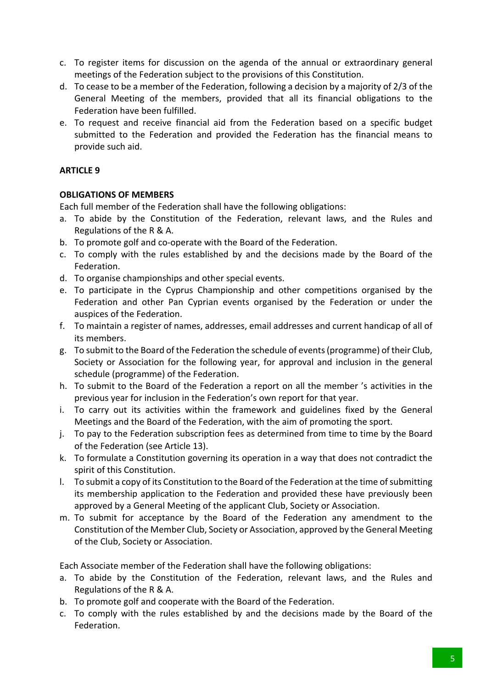- c. To register items for discussion on the agenda of the annual or extraordinary general meetings of the Federation subject to the provisions of this Constitution.
- d. To cease to be a member of the Federation, following a decision by a majority of 2/3 of the General Meeting of the members, provided that all its financial obligations to the Federation have been fulfilled.
- e. To request and receive financial aid from the Federation based on a specific budget submitted to the Federation and provided the Federation has the financial means to provide such aid.

## **OBLIGATIONS OF MEMBERS**

Each full member of the Federation shall have the following obligations:

- a. To abide by the Constitution of the Federation, relevant laws, and the Rules and Regulations of the R & A.
- b. To promote golf and co-operate with the Board of the Federation.
- c. To comply with the rules established by and the decisions made by the Board of the Federation.
- d. To organise championships and other special events.
- e. To participate in the Cyprus Championship and other competitions organised by the Federation and other Pan Cyprian events organised by the Federation or under the auspices of the Federation.
- f. To maintain a register of names, addresses, email addresses and current handicap of all of its members.
- g. To submit to the Board of the Federation the schedule of events (programme) of their Club, Society or Association for the following year, for approval and inclusion in the general schedule (programme) of the Federation.
- h. To submit to the Board of the Federation a report on all the member 's activities in the previous year for inclusion in the Federation's own report for that year.
- i. To carry out its activities within the framework and guidelines fixed by the General Meetings and the Board of the Federation, with the aim of promoting the sport.
- j. To pay to the Federation subscription fees as determined from time to time by the Board of the Federation (see Article 13).
- k. To formulate a Constitution governing its operation in a way that does not contradict the spirit of this Constitution.
- l. To submit a copy of its Constitution to the Board of the Federation at the time of submitting its membership application to the Federation and provided these have previously been approved by a General Meeting of the applicant Club, Society or Association.
- m. To submit for acceptance by the Board of the Federation any amendment to the Constitution of the Member Club, Society or Association, approved by the General Meeting of the Club, Society or Association.

Each Associate member of the Federation shall have the following obligations:

- a. To abide by the Constitution of the Federation, relevant laws, and the Rules and Regulations of the R & A.
- b. To promote golf and cooperate with the Board of the Federation.
- c. To comply with the rules established by and the decisions made by the Board of the Federation.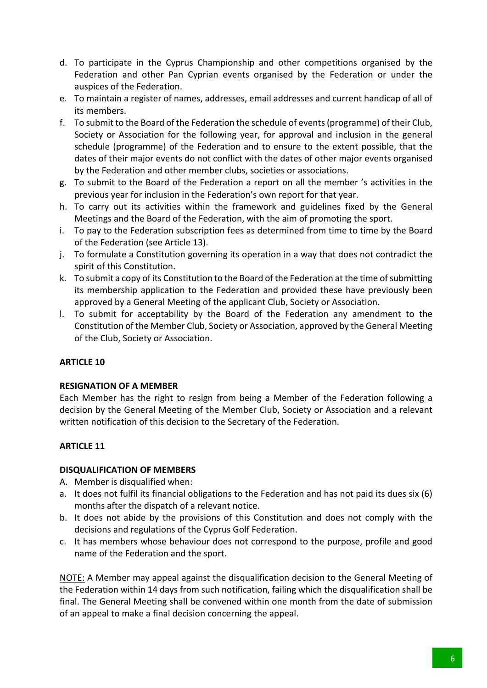- d. To participate in the Cyprus Championship and other competitions organised by the Federation and other Pan Cyprian events organised by the Federation or under the auspices of the Federation.
- e. To maintain a register of names, addresses, email addresses and current handicap of all of its members.
- f. To submit to the Board of the Federation the schedule of events (programme) of their Club, Society or Association for the following year, for approval and inclusion in the general schedule (programme) of the Federation and to ensure to the extent possible, that the dates of their major events do not conflict with the dates of other major events organised by the Federation and other member clubs, societies or associations.
- g. To submit to the Board of the Federation a report on all the member 's activities in the previous year for inclusion in the Federation's own report for that year.
- h. To carry out its activities within the framework and guidelines fixed by the General Meetings and the Board of the Federation, with the aim of promoting the sport.
- i. To pay to the Federation subscription fees as determined from time to time by the Board of the Federation (see Article 13).
- j. To formulate a Constitution governing its operation in a way that does not contradict the spirit of this Constitution.
- k. To submit a copy of its Constitution to the Board of the Federation at the time of submitting its membership application to the Federation and provided these have previously been approved by a General Meeting of the applicant Club, Society or Association.
- l. To submit for acceptability by the Board of the Federation any amendment to the Constitution of the Member Club, Society or Association, approved by the General Meeting of the Club, Society or Association.

## **RESIGNATION OF A MEMBER**

Each Member has the right to resign from being a Member of the Federation following a decision by the General Meeting of the Member Club, Society or Association and a relevant written notification of this decision to the Secretary of the Federation.

## **ARTICLE 11**

## **DISQUALIFICATION OF MEMBERS**

- A. Member is disqualified when:
- a. It does not fulfil its financial obligations to the Federation and has not paid its dues six (6) months after the dispatch of a relevant notice.
- b. It does not abide by the provisions of this Constitution and does not comply with the decisions and regulations of the Cyprus Golf Federation.
- c. It has members whose behaviour does not correspond to the purpose, profile and good name of the Federation and the sport.

NOTE: A Member may appeal against the disqualification decision to the General Meeting of the Federation within 14 days from such notification, failing which the disqualification shall be final. The General Meeting shall be convened within one month from the date of submission of an appeal to make a final decision concerning the appeal.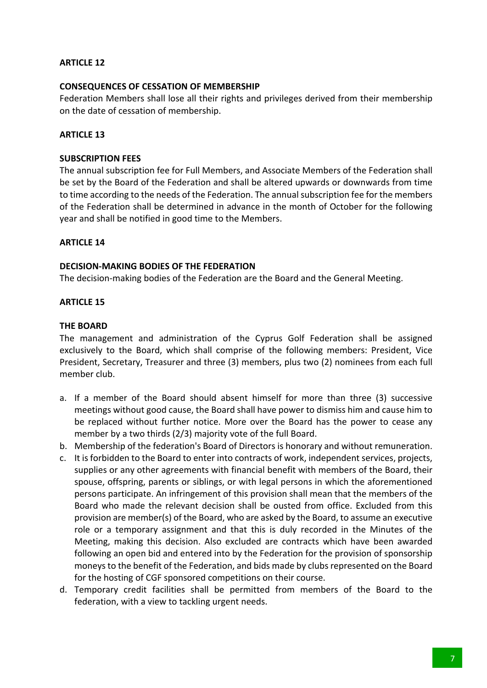#### **CONSEQUENCES OF CESSATION OF MEMBERSHIP**

Federation Members shall lose all their rights and privileges derived from their membership on the date of cessation of membership.

#### **ARTICLE 13**

#### **SUBSCRIPTION FEES**

The annual subscription fee for Full Members, and Associate Members of the Federation shall be set by the Board of the Federation and shall be altered upwards or downwards from time to time according to the needs of the Federation. The annual subscription fee for the members of the Federation shall be determined in advance in the month of October for the following year and shall be notified in good time to the Members.

#### **ARTICLE 14**

#### **DECISION-MAKING BODIES OF THE FEDERATION**

The decision-making bodies of the Federation are the Board and the General Meeting.

#### **ARTICLE 15**

#### **THE BOARD**

The management and administration of the Cyprus Golf Federation shall be assigned exclusively to the Board, which shall comprise of the following members: President, Vice President, Secretary, Treasurer and three (3) members, plus two (2) nominees from each full member club.

- a. If a member of the Board should absent himself for more than three (3) successive meetings without good cause, the Board shall have power to dismiss him and cause him to be replaced without further notice. More over the Board has the power to cease any member by a two thirds (2/3) majority vote of the full Board.
- b. Membership of the federation's Board of Directors is honorary and without remuneration.
- c. It is forbidden to the Board to enter into contracts of work, independent services, projects, supplies or any other agreements with financial benefit with members of the Board, their spouse, offspring, parents or siblings, or with legal persons in which the aforementioned persons participate. An infringement of this provision shall mean that the members of the Board who made the relevant decision shall be ousted from office. Excluded from this provision are member(s) of the Board, who are asked by the Board, to assume an executive role or a temporary assignment and that this is duly recorded in the Minutes of the Meeting, making this decision. Also excluded are contracts which have been awarded following an open bid and entered into by the Federation for the provision of sponsorship moneys to the benefit of the Federation, and bids made by clubs represented on the Board for the hosting of CGF sponsored competitions on their course.
- d. Temporary credit facilities shall be permitted from members of the Board to the federation, with a view to tackling urgent needs.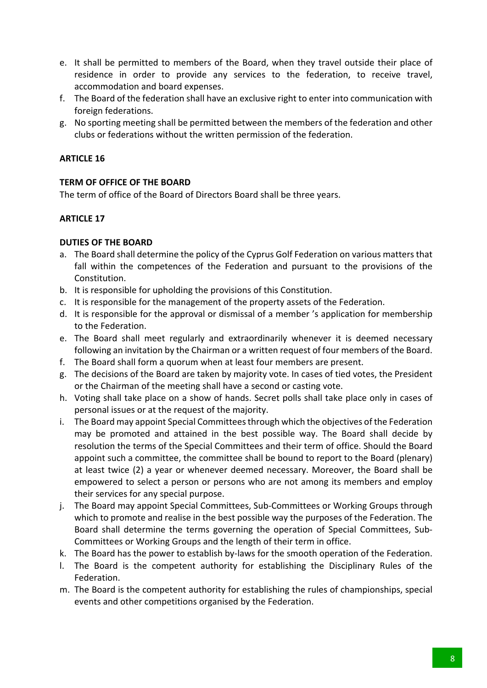- e. It shall be permitted to members of the Board, when they travel outside their place of residence in order to provide any services to the federation, to receive travel, accommodation and board expenses.
- f. The Board of the federation shall have an exclusive right to enter into communication with foreign federations.
- g. No sporting meeting shall be permitted between the members of the federation and other clubs or federations without the written permission of the federation.

## **TERM OF OFFICE OF THE BOARD**

The term of office of the Board of Directors Board shall be three years.

## **ARTICLE 17**

## **DUTIES OF THE BOARD**

- a. The Board shall determine the policy of the Cyprus Golf Federation on various matters that fall within the competences of the Federation and pursuant to the provisions of the Constitution.
- b. It is responsible for upholding the provisions of this Constitution.
- c. It is responsible for the management of the property assets of the Federation.
- d. It is responsible for the approval or dismissal of a member 's application for membership to the Federation.
- e. The Board shall meet regularly and extraordinarily whenever it is deemed necessary following an invitation by the Chairman or a written request of four members of the Board.
- f. The Board shall form a quorum when at least four members are present.
- g. The decisions of the Board are taken by majority vote. In cases of tied votes, the President or the Chairman of the meeting shall have a second or casting vote.
- h. Voting shall take place on a show of hands. Secret polls shall take place only in cases of personal issues or at the request of the majority.
- i. The Board may appoint Special Committees through which the objectives of the Federation may be promoted and attained in the best possible way. The Board shall decide by resolution the terms of the Special Committees and their term of office. Should the Board appoint such a committee, the committee shall be bound to report to the Board (plenary) at least twice (2) a year or whenever deemed necessary. Moreover, the Board shall be empowered to select a person or persons who are not among its members and employ their services for any special purpose.
- j. The Board may appoint Special Committees, Sub-Committees or Working Groups through which to promote and realise in the best possible way the purposes of the Federation. The Board shall determine the terms governing the operation of Special Committees, Sub-Committees or Working Groups and the length of their term in office.
- k. The Board has the power to establish by-laws for the smooth operation of the Federation.
- l. The Board is the competent authority for establishing the Disciplinary Rules of the Federation.
- m. The Board is the competent authority for establishing the rules of championships, special events and other competitions organised by the Federation.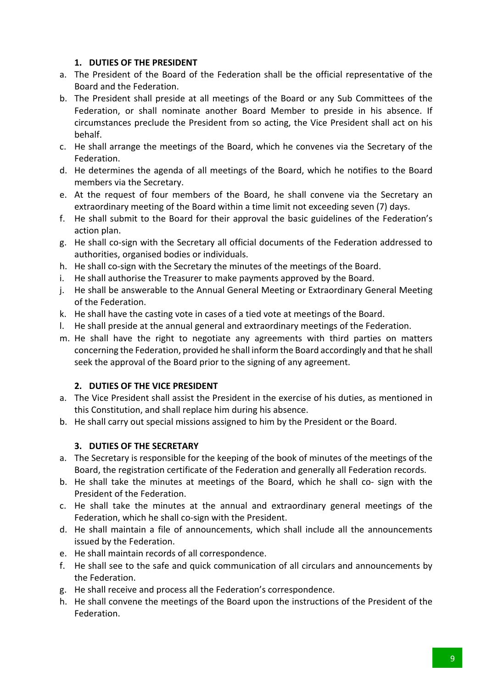## **1. DUTIES OF THE PRESIDENT**

- a. The President of the Board of the Federation shall be the official representative of the Board and the Federation.
- b. The President shall preside at all meetings of the Board or any Sub Committees of the Federation, or shall nominate another Board Member to preside in his absence. If circumstances preclude the President from so acting, the Vice President shall act on his behalf.
- c. He shall arrange the meetings of the Board, which he convenes via the Secretary of the Federation.
- d. He determines the agenda of all meetings of the Board, which he notifies to the Board members via the Secretary.
- e. At the request of four members of the Board, he shall convene via the Secretary an extraordinary meeting of the Board within a time limit not exceeding seven (7) days.
- f. He shall submit to the Board for their approval the basic guidelines of the Federation's action plan.
- g. He shall co-sign with the Secretary all official documents of the Federation addressed to authorities, organised bodies or individuals.
- h. He shall co-sign with the Secretary the minutes of the meetings of the Board.
- i. He shall authorise the Treasurer to make payments approved by the Board.
- j. He shall be answerable to the Annual General Meeting or Extraordinary General Meeting of the Federation.
- k. He shall have the casting vote in cases of a tied vote at meetings of the Board.
- l. He shall preside at the annual general and extraordinary meetings of the Federation.
- m. He shall have the right to negotiate any agreements with third parties on matters concerning the Federation, provided he shall inform the Board accordingly and that he shall seek the approval of the Board prior to the signing of any agreement.

## **2. DUTIES OF THE VICE PRESIDENT**

- a. The Vice President shall assist the President in the exercise of his duties, as mentioned in this Constitution, and shall replace him during his absence.
- b. He shall carry out special missions assigned to him by the President or the Board.

## **3. DUTIES OF THE SECRETARY**

- a. The Secretary is responsible for the keeping of the book of minutes of the meetings of the Board, the registration certificate of the Federation and generally all Federation records.
- b. He shall take the minutes at meetings of the Board, which he shall co- sign with the President of the Federation.
- c. He shall take the minutes at the annual and extraordinary general meetings of the Federation, which he shall co-sign with the President.
- d. He shall maintain a file of announcements, which shall include all the announcements issued by the Federation.
- e. He shall maintain records of all correspondence.
- f. He shall see to the safe and quick communication of all circulars and announcements by the Federation.
- g. He shall receive and process all the Federation's correspondence.
- h. He shall convene the meetings of the Board upon the instructions of the President of the Federation.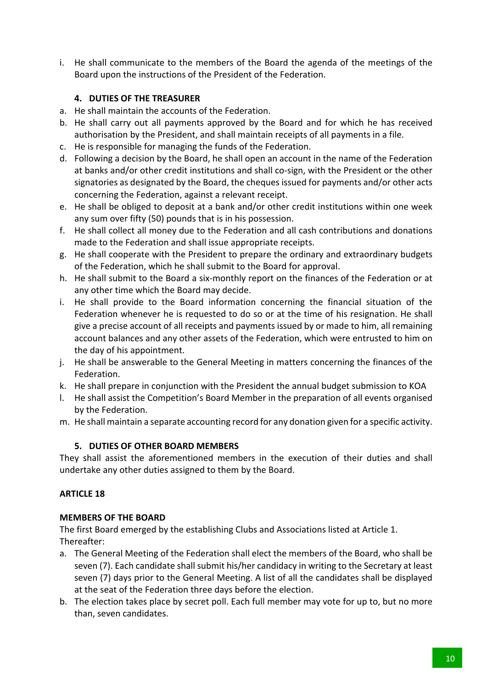i. He shall communicate to the members of the Board the agenda of the meetings of the Board upon the instructions of the President of the Federation.

## **4. DUTIES OF THE TREASURER**

- a. He shall maintain the accounts of the Federation.
- b. He shall carry out all payments approved by the Board and for which he has received authorisation by the President, and shall maintain receipts of all payments in a file.
- c. He is responsible for managing the funds of the Federation.
- d. Following a decision by the Board, he shall open an account in the name of the Federation at banks and/or other credit institutions and shall co-sign, with the President or the other signatories as designated by the Board, the cheques issued for payments and/or other acts concerning the Federation, against a relevant receipt.
- e. He shall be obliged to deposit at a bank and/or other credit institutions within one week any sum over fifty (50) pounds that is in his possession.
- f. He shall collect all money due to the Federation and all cash contributions and donations made to the Federation and shall issue appropriate receipts.
- g. He shall cooperate with the President to prepare the ordinary and extraordinary budgets of the Federation, which he shall submit to the Board for approval.
- h. He shall submit to the Board a six-monthly report on the finances of the Federation or at any other time which the Board may decide.
- i. He shall provide to the Board information concerning the financial situation of the Federation whenever he is requested to do so or at the time of his resignation. He shall give a precise account of all receipts and payments issued by or made to him, all remaining account balances and any other assets of the Federation, which were entrusted to him on the day of his appointment.
- j. He shall be answerable to the General Meeting in matters concerning the finances of the Federation.
- k. He shall prepare in conjunction with the President the annual budget submission to KOA
- l. He shall assist the Competition's Board Member in the preparation of all events organised by the Federation.
- m. He shall maintain a separate accounting record for any donation given for a specific activity.

## **5. DUTIES OF OTHER BOARD MEMBERS**

They shall assist the aforementioned members in the execution of their duties and shall undertake any other duties assigned to them by the Board.

## **ARTICLE 18**

## **MEMBERS OF THE BOARD**

The first Board emerged by the establishing Clubs and Associations listed at Article 1. Thereafter:

- a. The General Meeting of the Federation shall elect the members of the Board, who shall be seven (7). Each candidate shall submit his/her candidacy in writing to the Secretary at least seven (7) days prior to the General Meeting. A list of all the candidates shall be displayed at the seat of the Federation three days before the election.
- b. The election takes place by secret poll. Each full member may vote for up to, but no more than, seven candidates.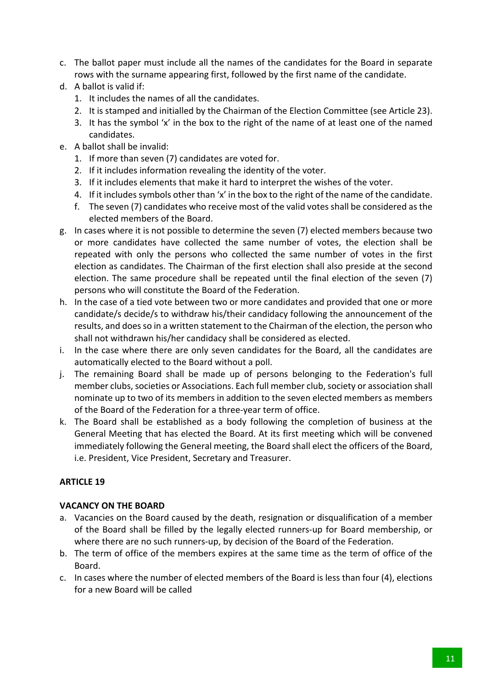- c. The ballot paper must include all the names of the candidates for the Board in separate rows with the surname appearing first, followed by the first name of the candidate.
- d. A ballot is valid if:
	- 1. It includes the names of all the candidates.
	- 2. It is stamped and initialled by the Chairman of the Election Committee (see Article 23).
	- 3. It has the symbol 'x' in the box to the right of the name of at least one of the named candidates.
- e. A ballot shall be invalid:
	- 1. If more than seven (7) candidates are voted for.
	- 2. If it includes information revealing the identity of the voter.
	- 3. If it includes elements that make it hard to interpret the wishes of the voter.
	- 4. If it includes symbols other than 'x' in the box to the right of the name of the candidate.
	- f. The seven (7) candidates who receive most of the valid votes shall be considered as the elected members of the Board.
- g. In cases where it is not possible to determine the seven (7) elected members because two or more candidates have collected the same number of votes, the election shall be repeated with only the persons who collected the same number of votes in the first election as candidates. The Chairman of the first election shall also preside at the second election. The same procedure shall be repeated until the final election of the seven (7) persons who will constitute the Board of the Federation.
- h. In the case of a tied vote between two or more candidates and provided that one or more candidate/s decide/s to withdraw his/their candidacy following the announcement of the results, and does so in a written statement to the Chairman of the election, the person who shall not withdrawn his/her candidacy shall be considered as elected.
- i. In the case where there are only seven candidates for the Board, all the candidates are automatically elected to the Board without a poll.
- j. The remaining Board shall be made up of persons belonging to the Federation's full member clubs, societies or Associations. Each full member club, society or association shall nominate up to two of its members in addition to the seven elected members as members of the Board of the Federation for a three-year term of office.
- k. The Board shall be established as a body following the completion of business at the General Meeting that has elected the Board. At its first meeting which will be convened immediately following the General meeting, the Board shall elect the officers of the Board, i.e. President, Vice President, Secretary and Treasurer.

## **VACANCY ON THE BOARD**

- a. Vacancies on the Board caused by the death, resignation or disqualification of a member of the Board shall be filled by the legally elected runners-up for Board membership, or where there are no such runners-up, by decision of the Board of the Federation.
- b. The term of office of the members expires at the same time as the term of office of the Board.
- c. In cases where the number of elected members of the Board is less than four (4), elections for a new Board will be called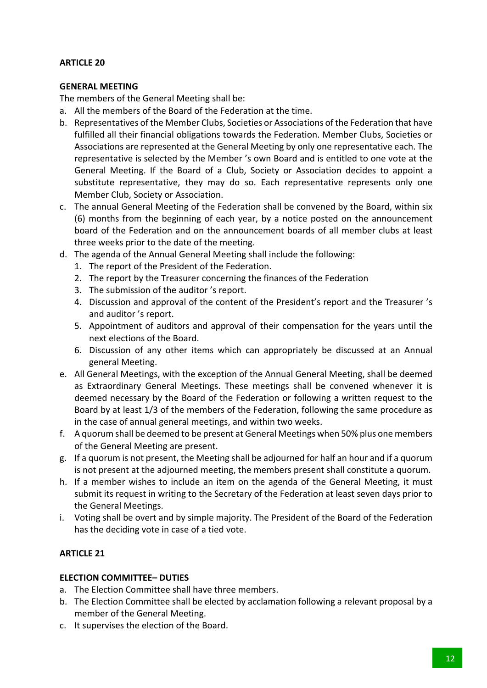## **GENERAL MEETING**

The members of the General Meeting shall be:

- a. All the members of the Board of the Federation at the time.
- b. Representatives of the Member Clubs, Societies or Associations of the Federation that have fulfilled all their financial obligations towards the Federation. Member Clubs, Societies or Associations are represented at the General Meeting by only one representative each. The representative is selected by the Member 's own Board and is entitled to one vote at the General Meeting. If the Board of a Club, Society or Association decides to appoint a substitute representative, they may do so. Each representative represents only one Member Club, Society or Association.
- c. The annual General Meeting of the Federation shall be convened by the Board, within six (6) months from the beginning of each year, by a notice posted on the announcement board of the Federation and on the announcement boards of all member clubs at least three weeks prior to the date of the meeting.
- d. The agenda of the Annual General Meeting shall include the following:
	- 1. The report of the President of the Federation.
	- 2. The report by the Treasurer concerning the finances of the Federation
	- 3. The submission of the auditor 's report.
	- 4. Discussion and approval of the content of the President's report and the Treasurer 's and auditor 's report.
	- 5. Appointment of auditors and approval of their compensation for the years until the next elections of the Board.
	- 6. Discussion of any other items which can appropriately be discussed at an Annual general Meeting.
- e. All General Meetings, with the exception of the Annual General Meeting, shall be deemed as Extraordinary General Meetings. These meetings shall be convened whenever it is deemed necessary by the Board of the Federation or following a written request to the Board by at least 1/3 of the members of the Federation, following the same procedure as in the case of annual general meetings, and within two weeks.
- f. A quorum shall be deemed to be present at General Meetings when 50% plus one members of the General Meeting are present.
- g. If a quorum is not present, the Meeting shall be adjourned for half an hour and if a quorum is not present at the adjourned meeting, the members present shall constitute a quorum.
- h. If a member wishes to include an item on the agenda of the General Meeting, it must submit its request in writing to the Secretary of the Federation at least seven days prior to the General Meetings.
- i. Voting shall be overt and by simple majority. The President of the Board of the Federation has the deciding vote in case of a tied vote.

## **ARTICLE 21**

## **ELECTION COMMITTEE– DUTIES**

- a. The Election Committee shall have three members.
- b. The Election Committee shall be elected by acclamation following a relevant proposal by a member of the General Meeting.
- c. It supervises the election of the Board.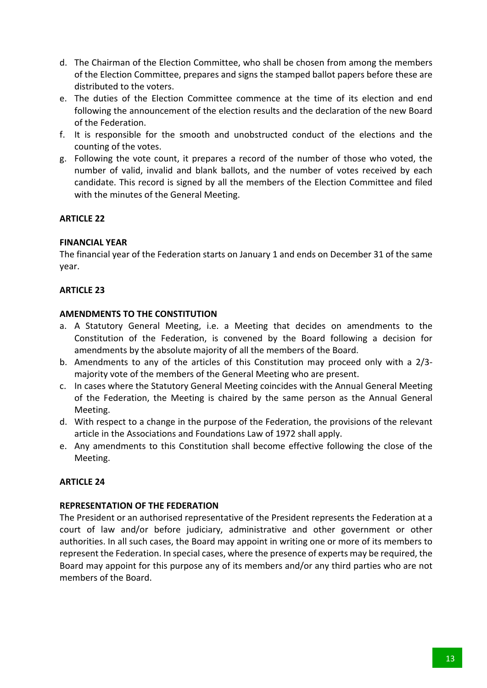- d. The Chairman of the Election Committee, who shall be chosen from among the members of the Election Committee, prepares and signs the stamped ballot papers before these are distributed to the voters.
- e. The duties of the Election Committee commence at the time of its election and end following the announcement of the election results and the declaration of the new Board of the Federation.
- f. It is responsible for the smooth and unobstructed conduct of the elections and the counting of the votes.
- g. Following the vote count, it prepares a record of the number of those who voted, the number of valid, invalid and blank ballots, and the number of votes received by each candidate. This record is signed by all the members of the Election Committee and filed with the minutes of the General Meeting.

## **FINANCIAL YEAR**

The financial year of the Federation starts on January 1 and ends on December 31 of the same year.

## **ARTICLE 23**

#### **AMENDMENTS TO THE CONSTITUTION**

- a. A Statutory General Meeting, i.e. a Meeting that decides on amendments to the Constitution of the Federation, is convened by the Board following a decision for amendments by the absolute majority of all the members of the Board.
- b. Amendments to any of the articles of this Constitution may proceed only with a 2/3 majority vote of the members of the General Meeting who are present.
- c. In cases where the Statutory General Meeting coincides with the Annual General Meeting of the Federation, the Meeting is chaired by the same person as the Annual General Meeting.
- d. With respect to a change in the purpose of the Federation, the provisions of the relevant article in the Associations and Foundations Law of 1972 shall apply.
- e. Any amendments to this Constitution shall become effective following the close of the Meeting.

## **ARTICLE 24**

#### **REPRESENTATION OF THE FEDERATION**

The President or an authorised representative of the President represents the Federation at a court of law and/or before judiciary, administrative and other government or other authorities. In all such cases, the Board may appoint in writing one or more of its members to represent the Federation. In special cases, where the presence of experts may be required, the Board may appoint for this purpose any of its members and/or any third parties who are not members of the Board.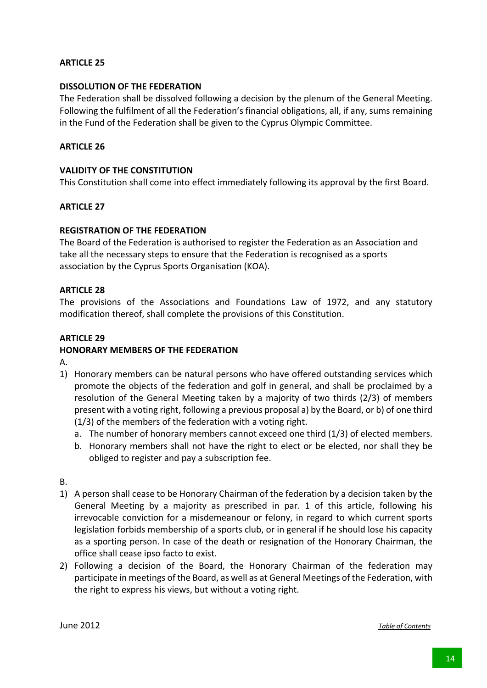#### **DISSOLUTION OF THE FEDERATION**

The Federation shall be dissolved following a decision by the plenum of the General Meeting. Following the fulfilment of all the Federation's financial obligations, all, if any, sums remaining in the Fund of the Federation shall be given to the Cyprus Olympic Committee.

#### **ARTICLE 26**

#### **VALIDITY OF THE CONSTITUTION**

This Constitution shall come into effect immediately following its approval by the first Board.

#### **ARTICLE 27**

#### **REGISTRATION OF THE FEDERATION**

The Board of the Federation is authorised to register the Federation as an Association and take all the necessary steps to ensure that the Federation is recognised as a sports association by the Cyprus Sports Organisation (KOA).

#### **ARTICLE 28**

The provisions of the Associations and Foundations Law of 1972, and any statutory modification thereof, shall complete the provisions of this Constitution.

#### **ARTICLE 29**

#### **HONORARY MEMBERS OF THE FEDERATION**

A.

- 1) Honorary members can be natural persons who have offered outstanding services which promote the objects of the federation and golf in general, and shall be proclaimed by a resolution of the General Meeting taken by a majority of two thirds (2/3) of members present with a voting right, following a previous proposal a) by the Board, or b) of one third (1/3) of the members of the federation with a voting right.
	- a. The number of honorary members cannot exceed one third (1/3) of elected members.
	- b. Honorary members shall not have the right to elect or be elected, nor shall they be obliged to register and pay a subscription fee.

B.

- 1) A person shall cease to be Honorary Chairman of the federation by a decision taken by the General Meeting by a majority as prescribed in par. 1 of this article, following his irrevocable conviction for a misdemeanour or felony, in regard to which current sports legislation forbids membership of a sports club, or in general if he should lose his capacity as a sporting person. In case of the death or resignation of the Honorary Chairman, the office shall cease ipso facto to exist.
- 2) Following a decision of the Board, the Honorary Chairman of the federation may participate in meetings of the Board, as well as at General Meetings of the Federation, with the right to express his views, but without a voting right.

June 2012 *Table of Contents*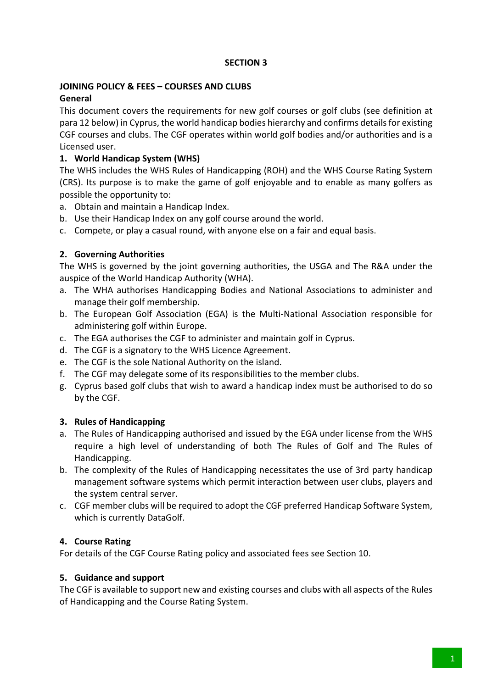## **JOINING POLICY & FEES – COURSES AND CLUBS**

## **General**

This document covers the requirements for new golf courses or golf clubs (see definition at para 12 below) in Cyprus, the world handicap bodies hierarchy and confirms details for existing CGF courses and clubs. The CGF operates within world golf bodies and/or authorities and is a Licensed user.

## **1. World Handicap System (WHS)**

The WHS includes the WHS Rules of Handicapping (ROH) and the WHS Course Rating System (CRS). Its purpose is to make the game of golf enjoyable and to enable as many golfers as possible the opportunity to:

- a. Obtain and maintain a Handicap Index.
- b. Use their Handicap Index on any golf course around the world.
- c. Compete, or play a casual round, with anyone else on a fair and equal basis.

## **2. Governing Authorities**

The WHS is governed by the joint governing authorities, the USGA and The R&A under the auspice of the World Handicap Authority (WHA).

- a. The WHA authorises Handicapping Bodies and National Associations to administer and manage their golf membership.
- b. The European Golf Association (EGA) is the Multi-National Association responsible for administering golf within Europe.
- c. The EGA authorises the CGF to administer and maintain golf in Cyprus.
- d. The CGF is a signatory to the WHS Licence Agreement.
- e. The CGF is the sole National Authority on the island.
- f. The CGF may delegate some of its responsibilities to the member clubs.
- g. Cyprus based golf clubs that wish to award a handicap index must be authorised to do so by the CGF.

## **3. Rules of Handicapping**

- a. The Rules of Handicapping authorised and issued by the EGA under license from the WHS require a high level of understanding of both The Rules of Golf and The Rules of Handicapping.
- b. The complexity of the Rules of Handicapping necessitates the use of 3rd party handicap management software systems which permit interaction between user clubs, players and the system central server.
- c. CGF member clubs will be required to adopt the CGF preferred Handicap Software System, which is currently DataGolf.

## **4. Course Rating**

For details of the CGF Course Rating policy and associated fees see Section 10.

## **5. Guidance and support**

The CGF is available to support new and existing courses and clubs with all aspects of the Rules of Handicapping and the Course Rating System.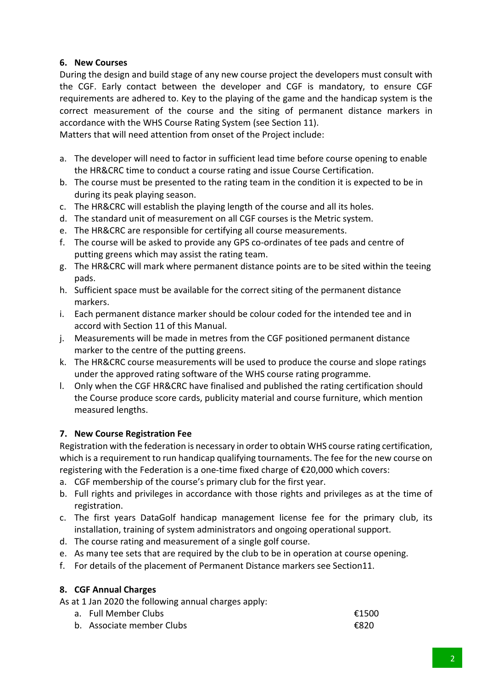## **6. New Courses**

During the design and build stage of any new course project the developers must consult with the CGF. Early contact between the developer and CGF is mandatory, to ensure CGF requirements are adhered to. Key to the playing of the game and the handicap system is the correct measurement of the course and the siting of permanent distance markers in accordance with the WHS Course Rating System (see Section 11).

Matters that will need attention from onset of the Project include:

- a. The developer will need to factor in sufficient lead time before course opening to enable the HR&CRC time to conduct a course rating and issue Course Certification.
- b. The course must be presented to the rating team in the condition it is expected to be in during its peak playing season.
- c. The HR&CRC will establish the playing length of the course and all its holes.
- d. The standard unit of measurement on all CGF courses is the Metric system.
- e. The HR&CRC are responsible for certifying all course measurements.
- f. The course will be asked to provide any GPS co-ordinates of tee pads and centre of putting greens which may assist the rating team.
- g. The HR&CRC will mark where permanent distance points are to be sited within the teeing pads.
- h. Sufficient space must be available for the correct siting of the permanent distance markers.
- i. Each permanent distance marker should be colour coded for the intended tee and in accord with Section 11 of this Manual.
- j. Measurements will be made in metres from the CGF positioned permanent distance marker to the centre of the putting greens.
- k. The HR&CRC course measurements will be used to produce the course and slope ratings under the approved rating software of the WHS course rating programme.
- l. Only when the CGF HR&CRC have finalised and published the rating certification should the Course produce score cards, publicity material and course furniture, which mention measured lengths.

## **7. New Course Registration Fee**

Registration with the federation is necessary in order to obtain WHS course rating certification, which is a requirement to run handicap qualifying tournaments. The fee for the new course on registering with the Federation is a one-time fixed charge of €20,000 which covers:

- a. CGF membership of the course's primary club for the first year.
- b. Full rights and privileges in accordance with those rights and privileges as at the time of registration.
- c. The first years DataGolf handicap management license fee for the primary club, its installation, training of system administrators and ongoing operational support.
- d. The course rating and measurement of a single golf course.
- e. As many tee sets that are required by the club to be in operation at course opening.
- f. For details of the placement of Permanent Distance markers see Section11.

## **8. CGF Annual Charges**

As at 1 Jan 2020 the following annual charges apply:

a. Full Member Clubs  $\epsilon$ 1500 b. Associate member Clubs  $\epsilon$ 820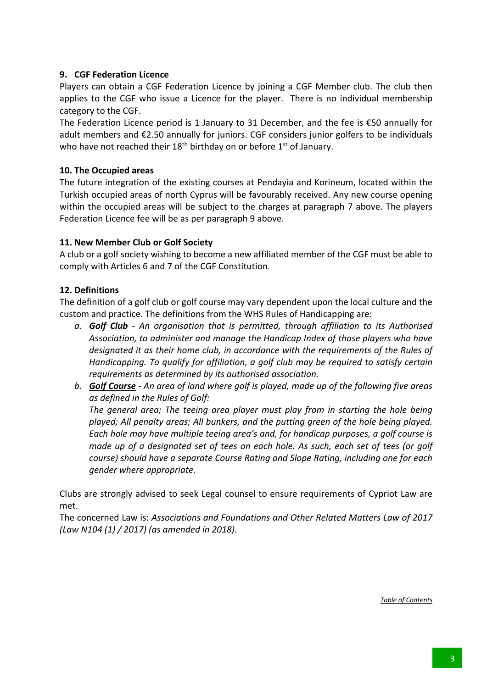## **9. CGF Federation Licence**

Players can obtain a CGF Federation Licence by joining a CGF Member club. The club then applies to the CGF who issue a Licence for the player. There is no individual membership category to the CGF.

The Federation Licence period is 1 January to 31 December, and the fee is €50 annually for adult members and €2.50 annually for juniors. CGF considers junior golfers to be individuals who have not reached their  $18<sup>th</sup>$  birthday on or before  $1<sup>st</sup>$  of January.

## **10. The Occupied areas**

The future integration of the existing courses at Pendayia and Korineum, located within the Turkish occupied areas of north Cyprus will be favourably received. Any new course opening within the occupied areas will be subject to the charges at paragraph 7 above. The players Federation Licence fee will be as per paragraph 9 above.

## **11. New Member Club or Golf Society**

A club or a golf society wishing to become a new affiliated member of the CGF must be able to comply with Articles 6 and 7 of the CGF Constitution.

## **12. Definitions**

The definition of a golf club or golf course may vary dependent upon the local culture and the custom and practice. The definitions from the WHS Rules of Handicapping are:

- *a. Golf Club - An organisation that is permitted, through affiliation to its Authorised Association, to administer and manage the Handicap Index of those players who have*  designated it as their home club, in accordance with the requirements of the Rules of *Handicapping. To qualify for affiliation, a golf club may be required to satisfy certain requirements as determined by its authorised association.*
- *b. Golf Course - An area of land where golf is played, made up of the following five areas as defined in the Rules of Golf:*

*The general area; The teeing area player must play from in starting the hole being played; All penalty areas; All bunkers, and the putting green of the hole being played. Each hole may have multiple teeing area's and, for handicap purposes, a golf course is made up of a designated set of tees on each hole. As such, each set of tees (or golf course) should have a separate Course Rating and Slope Rating, including one for each gender where appropriate.*

Clubs are strongly advised to seek Legal counsel to ensure requirements of Cypriot Law are met.

The concerned Law is: *Associations and Foundations and Other Related Matters Law of 2017 (Law N104 (1) / 2017) (as amended in 2018).*

*Table of Contents*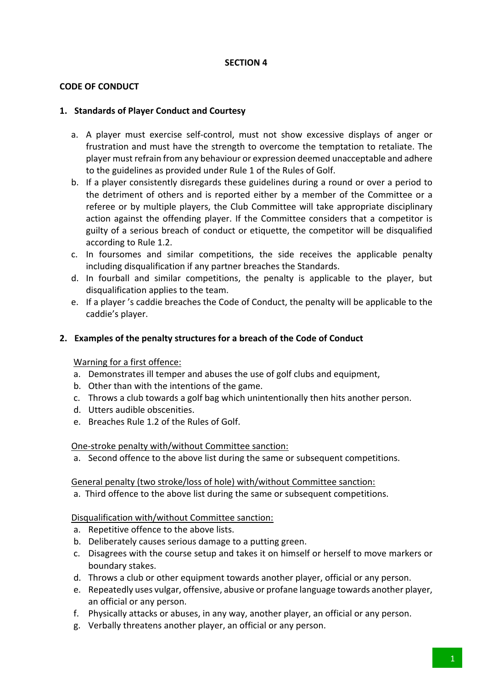## **CODE OF CONDUCT**

#### **1. Standards of Player Conduct and Courtesy**

- a. A player must exercise self-control, must not show excessive displays of anger or frustration and must have the strength to overcome the temptation to retaliate. The player must refrain from any behaviour or expression deemed unacceptable and adhere to the guidelines as provided under Rule 1 of the Rules of Golf.
- b. If a player consistently disregards these guidelines during a round or over a period to the detriment of others and is reported either by a member of the Committee or a referee or by multiple players, the Club Committee will take appropriate disciplinary action against the offending player. If the Committee considers that a competitor is guilty of a serious breach of conduct or etiquette, the competitor will be disqualified according to Rule 1.2.
- c. In foursomes and similar competitions, the side receives the applicable penalty including disqualification if any partner breaches the Standards.
- d. In fourball and similar competitions, the penalty is applicable to the player, but disqualification applies to the team.
- e. If a player 's caddie breaches the Code of Conduct, the penalty will be applicable to the caddie's player.

## **2. Examples of the penalty structures for a breach of the Code of Conduct**

#### Warning for a first offence:

- a. Demonstrates ill temper and abuses the use of golf clubs and equipment,
- b. Other than with the intentions of the game.
- c. Throws a club towards a golf bag which unintentionally then hits another person.
- d. Utters audible obscenities.
- e. Breaches Rule 1.2 of the Rules of Golf.

#### One-stroke penalty with/without Committee sanction:

a. Second offence to the above list during the same or subsequent competitions.

#### General penalty (two stroke/loss of hole) with/without Committee sanction:

a. Third offence to the above list during the same or subsequent competitions.

#### Disqualification with/without Committee sanction:

- a. Repetitive offence to the above lists.
- b. Deliberately causes serious damage to a putting green.
- c. Disagrees with the course setup and takes it on himself or herself to move markers or boundary stakes.
- d. Throws a club or other equipment towards another player, official or any person.
- e. Repeatedly uses vulgar, offensive, abusive or profane language towards another player, an official or any person.
- f. Physically attacks or abuses, in any way, another player, an official or any person.
- g. Verbally threatens another player, an official or any person.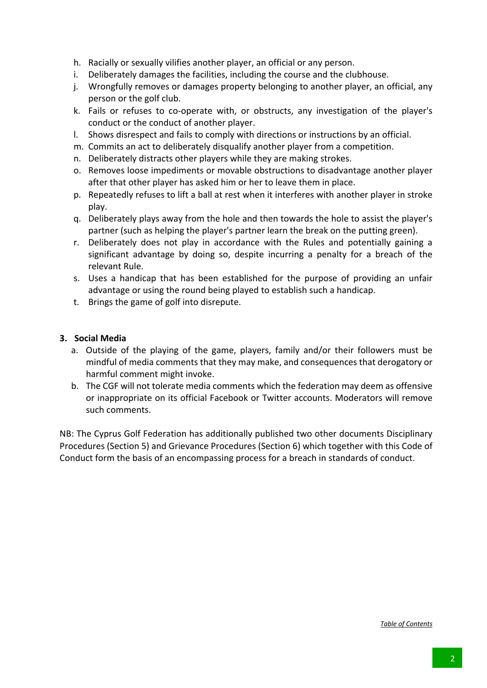- h. Racially or sexually vilifies another player, an official or any person.
- i. Deliberately damages the facilities, including the course and the clubhouse.
- j. Wrongfully removes or damages property belonging to another player, an official, any person or the golf club.
- k. Fails or refuses to co-operate with, or obstructs, any investigation of the player's conduct or the conduct of another player.
- l. Shows disrespect and fails to comply with directions or instructions by an official.
- m. Commits an act to deliberately disqualify another player from a competition.
- n. Deliberately distracts other players while they are making strokes.
- o. Removes loose impediments or movable obstructions to disadvantage another player after that other player has asked him or her to leave them in place.
- p. Repeatedly refuses to lift a ball at rest when it interferes with another player in stroke play.
- q. Deliberately plays away from the hole and then towards the hole to assist the player's partner (such as helping the player's partner learn the break on the putting green).
- r. Deliberately does not play in accordance with the Rules and potentially gaining a significant advantage by doing so, despite incurring a penalty for a breach of the relevant Rule.
- s. Uses a handicap that has been established for the purpose of providing an unfair advantage or using the round being played to establish such a handicap.
- t. Brings the game of golf into disrepute.

#### **3. Social Media**

- a. Outside of the playing of the game, players, family and/or their followers must be mindful of media comments that they may make, and consequences that derogatory or harmful comment might invoke.
- b. The CGF will not tolerate media comments which the federation may deem as offensive or inappropriate on its official Facebook or Twitter accounts. Moderators will remove such comments.

NB: The Cyprus Golf Federation has additionally published two other documents Disciplinary Procedures (Section 5) and Grievance Procedures (Section 6) which together with this Code of Conduct form the basis of an encompassing process for a breach in standards of conduct.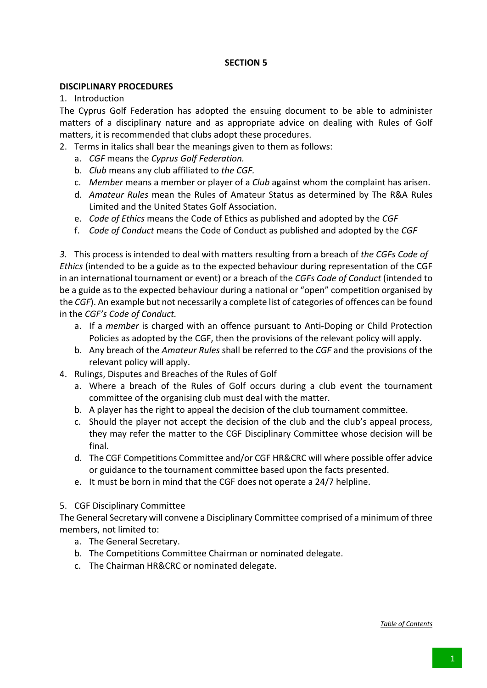#### **DISCIPLINARY PROCEDURES**

1. Introduction

The Cyprus Golf Federation has adopted the ensuing document to be able to administer matters of a disciplinary nature and as appropriate advice on dealing with Rules of Golf matters, it is recommended that clubs adopt these procedures.

- 2. Terms in italics shall bear the meanings given to them as follows:
	- a. *CGF* means the *Cyprus Golf Federation.*
	- b. *Club* means any club affiliated to *the CGF.*
	- c. *Member* means a member or player of a *Club* against whom the complaint has arisen.
	- d. *Amateur Rules* mean the Rules of Amateur Status as determined by The R&A Rules Limited and the United States Golf Association.
	- e. *Code of Ethics* means the Code of Ethics as published and adopted by the *CGF*
	- f. *Code of Conduct* means the Code of Conduct as published and adopted by the *CGF*

*3.* This process is intended to deal with matters resulting from a breach of *the CGFs Code of Ethics* (intended to be a guide as to the expected behaviour during representation of the CGF in an international tournament or event) or a breach of the *CGFs Code of Conduct* (intended to be a guide as to the expected behaviour during a national or "open" competition organised by the *CGF*). An example but not necessarily a complete list of categories of offences can be found in the *CGF's Code of Conduct.*

- a. If a *member* is charged with an offence pursuant to Anti-Doping or Child Protection Policies as adopted by the CGF, then the provisions of the relevant policy will apply.
- b. Any breach of the *Amateur Rules* shall be referred to the *CGF* and the provisions of the relevant policy will apply.
- 4. Rulings, Disputes and Breaches of the Rules of Golf
	- a. Where a breach of the Rules of Golf occurs during a club event the tournament committee of the organising club must deal with the matter.
	- b. A player has the right to appeal the decision of the club tournament committee.
	- c. Should the player not accept the decision of the club and the club's appeal process, they may refer the matter to the CGF Disciplinary Committee whose decision will be final.
	- d. The CGF Competitions Committee and/or CGF HR&CRC will where possible offer advice or guidance to the tournament committee based upon the facts presented.
	- e. It must be born in mind that the CGF does not operate a 24/7 helpline.

## 5. CGF Disciplinary Committee

The General Secretary will convene a Disciplinary Committee comprised of a minimum of three members, not limited to:

- a. The General Secretary.
- b. The Competitions Committee Chairman or nominated delegate.
- c. The Chairman HR&CRC or nominated delegate.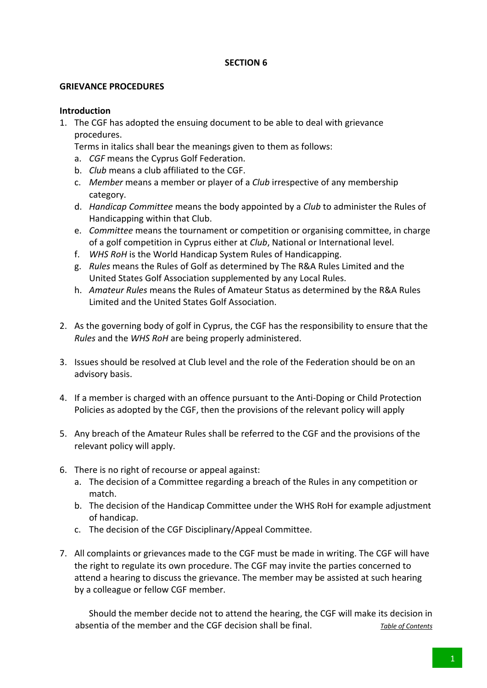#### **GRIEVANCE PROCEDURES**

#### **Introduction**

1. The CGF has adopted the ensuing document to be able to deal with grievance procedures.

Terms in italics shall bear the meanings given to them as follows:

- a. *CGF* means the Cyprus Golf Federation.
- b. *Club* means a club affiliated to the CGF.
- c. *Member* means a member or player of a *Club* irrespective of any membership category.
- d. *Handicap Committee* means the body appointed by a *Club* to administer the Rules of Handicapping within that Club.
- e. *Committee* means the tournament or competition or organising committee, in charge of a golf competition in Cyprus either at *Club*, National or International level.
- f. *WHS RoH* is the World Handicap System Rules of Handicapping.
- g. *Rules* means the Rules of Golf as determined by The R&A Rules Limited and the United States Golf Association supplemented by any Local Rules.
- h. *Amateur Rules* means the Rules of Amateur Status as determined by the R&A Rules Limited and the United States Golf Association.
- 2. As the governing body of golf in Cyprus, the CGF has the responsibility to ensure that the *Rules* and the *WHS RoH* are being properly administered.
- 3. Issues should be resolved at Club level and the role of the Federation should be on an advisory basis.
- 4. If a member is charged with an offence pursuant to the Anti-Doping or Child Protection Policies as adopted by the CGF, then the provisions of the relevant policy will apply
- 5. Any breach of the Amateur Rules shall be referred to the CGF and the provisions of the relevant policy will apply.
- 6. There is no right of recourse or appeal against:
	- a. The decision of a Committee regarding a breach of the Rules in any competition or match.
	- b. The decision of the Handicap Committee under the WHS RoH for example adjustment of handicap.
	- c. The decision of the CGF Disciplinary/Appeal Committee.
- 7. All complaints or grievances made to the CGF must be made in writing. The CGF will have the right to regulate its own procedure. The CGF may invite the parties concerned to attend a hearing to discuss the grievance. The member may be assisted at such hearing by a colleague or fellow CGF member.

Should the member decide not to attend the hearing, the CGF will make its decision in absentia of the member and the CGF decision shall be final. *Table of Contents*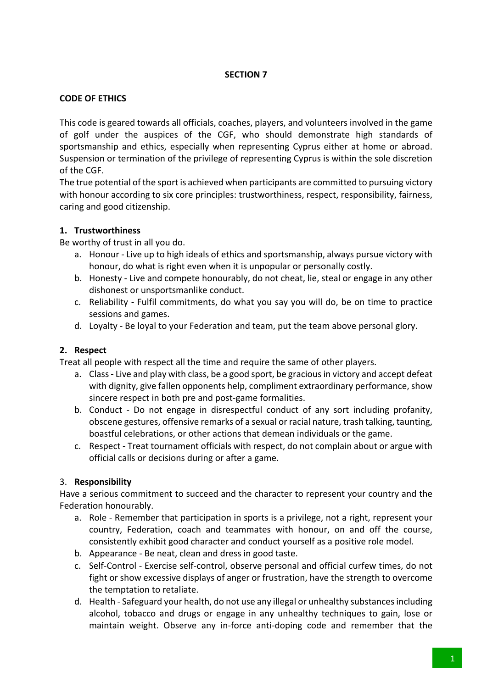## **CODE OF ETHICS**

This code is geared towards all officials, coaches, players, and volunteers involved in the game of golf under the auspices of the CGF, who should demonstrate high standards of sportsmanship and ethics, especially when representing Cyprus either at home or abroad. Suspension or termination of the privilege of representing Cyprus is within the sole discretion of the CGF.

The true potential of the sport is achieved when participants are committed to pursuing victory with honour according to six core principles: trustworthiness, respect, responsibility, fairness, caring and good citizenship.

## **1. Trustworthiness**

Be worthy of trust in all you do.

- a. Honour Live up to high ideals of ethics and sportsmanship, always pursue victory with honour, do what is right even when it is unpopular or personally costly.
- b. Honesty Live and compete honourably, do not cheat, lie, steal or engage in any other dishonest or unsportsmanlike conduct.
- c. Reliability Fulfil commitments, do what you say you will do, be on time to practice sessions and games.
- d. Loyalty Be loyal to your Federation and team, put the team above personal glory.

## **2. Respect**

Treat all people with respect all the time and require the same of other players.

- a. Class Live and play with class, be a good sport, be gracious in victory and accept defeat with dignity, give fallen opponents help, compliment extraordinary performance, show sincere respect in both pre and post-game formalities.
- b. Conduct Do not engage in disrespectful conduct of any sort including profanity, obscene gestures, offensive remarks of a sexual or racial nature, trash talking, taunting, boastful celebrations, or other actions that demean individuals or the game.
- c. Respect Treat tournament officials with respect, do not complain about or argue with official calls or decisions during or after a game.

## 3. **Responsibility**

Have a serious commitment to succeed and the character to represent your country and the Federation honourably.

- a. Role Remember that participation in sports is a privilege, not a right, represent your country, Federation, coach and teammates with honour, on and off the course, consistently exhibit good character and conduct yourself as a positive role model.
- b. Appearance Be neat, clean and dress in good taste.
- c. Self-Control Exercise self-control, observe personal and official curfew times, do not fight or show excessive displays of anger or frustration, have the strength to overcome the temptation to retaliate.
- d. Health Safeguard your health, do not use any illegal or unhealthy substances including alcohol, tobacco and drugs or engage in any unhealthy techniques to gain, lose or maintain weight. Observe any in-force anti-doping code and remember that the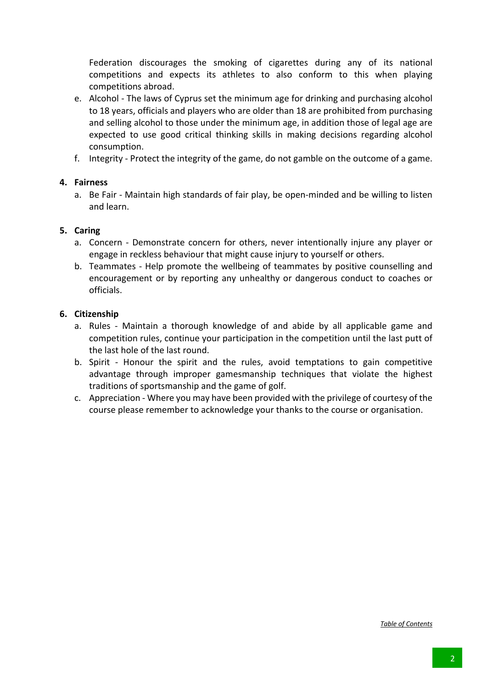Federation discourages the smoking of cigarettes during any of its national competitions and expects its athletes to also conform to this when playing competitions abroad.

- e. Alcohol The laws of Cyprus set the minimum age for drinking and purchasing alcohol to 18 years, officials and players who are older than 18 are prohibited from purchasing and selling alcohol to those under the minimum age, in addition those of legal age are expected to use good critical thinking skills in making decisions regarding alcohol consumption.
- f. Integrity Protect the integrity of the game, do not gamble on the outcome of a game.

## **4. Fairness**

a. Be Fair - Maintain high standards of fair play, be open-minded and be willing to listen and learn.

## **5. Caring**

- a. Concern Demonstrate concern for others, never intentionally injure any player or engage in reckless behaviour that might cause injury to yourself or others.
- b. Teammates Help promote the wellbeing of teammates by positive counselling and encouragement or by reporting any unhealthy or dangerous conduct to coaches or officials.

## **6. Citizenship**

- a. Rules Maintain a thorough knowledge of and abide by all applicable game and competition rules, continue your participation in the competition until the last putt of the last hole of the last round.
- b. Spirit Honour the spirit and the rules, avoid temptations to gain competitive advantage through improper gamesmanship techniques that violate the highest traditions of sportsmanship and the game of golf.
- c. Appreciation Where you may have been provided with the privilege of courtesy of the course please remember to acknowledge your thanks to the course or organisation.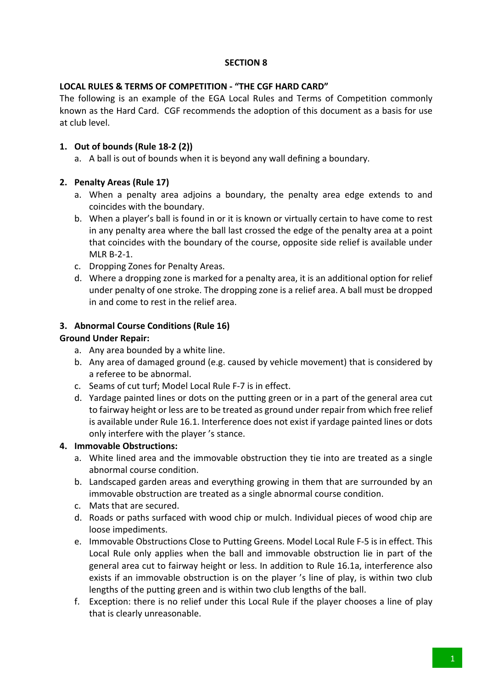## **LOCAL RULES & TERMS OF COMPETITION - "THE CGF HARD CARD"**

The following is an example of the EGA Local Rules and Terms of Competition commonly known as the Hard Card. CGF recommends the adoption of this document as a basis for use at club level.

## **1. Out of bounds (Rule 18-2 (2))**

- a. A ball is out of bounds when it is beyond any wall defining a boundary.
- **2. Penalty Areas (Rule 17)**
	- a. When a penalty area adjoins a boundary, the penalty area edge extends to and coincides with the boundary.
	- b. When a player's ball is found in or it is known or virtually certain to have come to rest in any penalty area where the ball last crossed the edge of the penalty area at a point that coincides with the boundary of the course, opposite side relief is available under MLR B-2-1.
	- c. Dropping Zones for Penalty Areas.
	- d. Where a dropping zone is marked for a penalty area, it is an additional option for relief under penalty of one stroke. The dropping zone is a relief area. A ball must be dropped in and come to rest in the relief area.

## **3. Abnormal Course Conditions (Rule 16)**

## **Ground Under Repair:**

- a. Any area bounded by a white line.
- b. Any area of damaged ground (e.g. caused by vehicle movement) that is considered by a referee to be abnormal.
- c. Seams of cut turf; Model Local Rule F-7 is in effect.
- d. Yardage painted lines or dots on the putting green or in a part of the general area cut to fairway height or less are to be treated as ground under repair from which free relief is available under Rule 16.1. Interference does not exist if yardage painted lines or dots only interfere with the player 's stance.

## **4. Immovable Obstructions:**

- a. White lined area and the immovable obstruction they tie into are treated as a single abnormal course condition.
- b. Landscaped garden areas and everything growing in them that are surrounded by an immovable obstruction are treated as a single abnormal course condition.
- c. Mats that are secured.
- d. Roads or paths surfaced with wood chip or mulch. Individual pieces of wood chip are loose impediments.
- e. Immovable Obstructions Close to Putting Greens. Model Local Rule F-5 is in effect. This Local Rule only applies when the ball and immovable obstruction lie in part of the general area cut to fairway height or less. In addition to Rule 16.1a, interference also exists if an immovable obstruction is on the player 's line of play, is within two club lengths of the putting green and is within two club lengths of the ball.
- f. Exception: there is no relief under this Local Rule if the player chooses a line of play that is clearly unreasonable.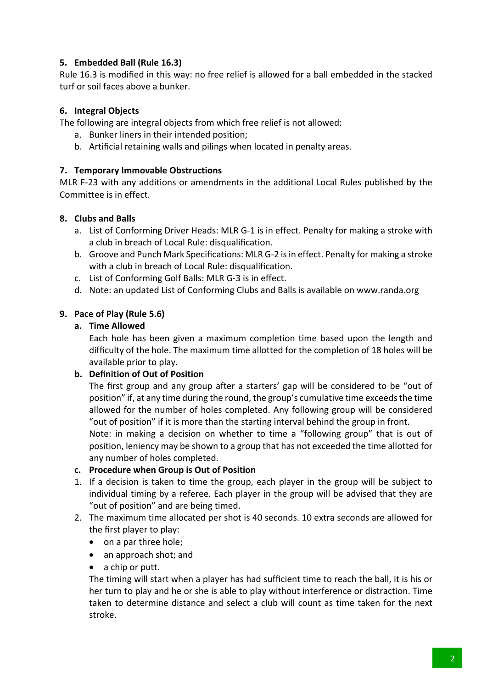## **5. Embedded Ball (Rule 16.3)**

Rule 16.3 is modified in this way: no free relief is allowed for a ball embedded in the stacked turf or soil faces above a bunker.

## **6. Integral Objects**

The following are integral objects from which free relief is not allowed:

- a. Bunker liners in their intended position;
- b. Artificial retaining walls and pilings when located in penalty areas.

## **7. Temporary Immovable Obstructions**

MLR F-23 with any additions or amendments in the additional Local Rules published by the Committee is in effect.

## **8. Clubs and Balls**

- a. List of Conforming Driver Heads: MLR G-1 is in effect. Penalty for making a stroke with a club in breach of Local Rule: disqualification.
- b. Groove and Punch Mark Specifications: MLR G-2 is in effect. Penalty for making a stroke with a club in breach of Local Rule: disqualification.
- c. List of Conforming Golf Balls: MLR G-3 is in effect.
- d. Note: an updated List of Conforming Clubs and Balls is available on www.randa.org

## **9. Pace of Play (Rule 5.6)**

## **a. Time Allowed**

Each hole has been given a maximum completion time based upon the length and difficulty of the hole. The maximum time allotted for the completion of 18 holes will be available prior to play.

## **b. Definition of Out of Position**

The first group and any group after a starters' gap will be considered to be "out of position" if, at any time during the round, the group's cumulative time exceeds the time allowed for the number of holes completed. Any following group will be considered "out of position" if it is more than the starting interval behind the group in front.

Note: in making a decision on whether to time a "following group" that is out of position, leniency may be shown to a group that has not exceeded the time allotted for any number of holes completed.

#### **c. Procedure when Group is Out of Position**

- 1. If a decision is taken to time the group, each player in the group will be subject to individual timing by a referee. Each player in the group will be advised that they are "out of position" and are being timed.
- 2. The maximum time allocated per shot is 40 seconds. 10 extra seconds are allowed for the first player to play:
	- on a par three hole;
	- an approach shot; and
	- a chip or putt.

The timing will start when a player has had sufficient time to reach the ball, it is his or her turn to play and he or she is able to play without interference or distraction. Time taken to determine distance and select a club will count as time taken for the next stroke.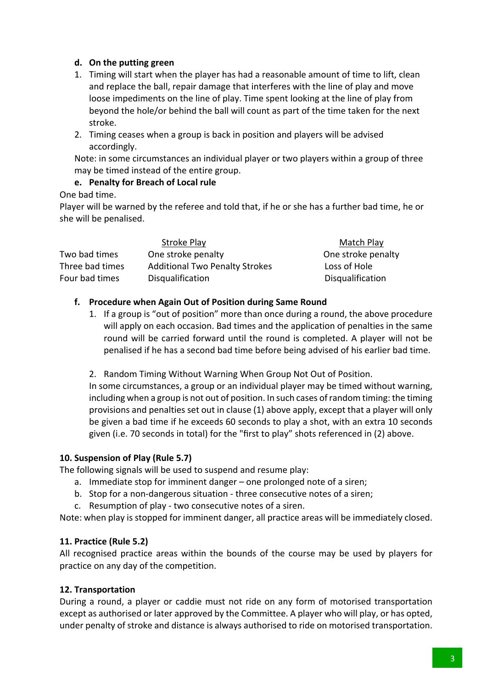## **d. On the putting green**

- 1. Timing will start when the player has had a reasonable amount of time to lift, clean and replace the ball, repair damage that interferes with the line of play and move loose impediments on the line of play. Time spent looking at the line of play from beyond the hole/or behind the ball will count as part of the time taken for the next stroke.
- 2. Timing ceases when a group is back in position and players will be advised accordingly.

Note: in some circumstances an individual player or two players within a group of three may be timed instead of the entire group.

## **e. Penalty for Breach of Local rule**

## One bad time.

Player will be warned by the referee and told that, if he or she has a further bad time, he or she will be penalised.

|                 | Stroke Play                           | Match Play         |
|-----------------|---------------------------------------|--------------------|
| Two bad times   | One stroke penalty                    | One stroke penalty |
| Three bad times | <b>Additional Two Penalty Strokes</b> | Loss of Hole       |
| Four bad times  | Disqualification                      | Disqualification   |

## **f. Procedure when Again Out of Position during Same Round**

- 1. If a group is "out of position" more than once during a round, the above procedure will apply on each occasion. Bad times and the application of penalties in the same round will be carried forward until the round is completed. A player will not be penalised if he has a second bad time before being advised of his earlier bad time.
- 2. Random Timing Without Warning When Group Not Out of Position.

In some circumstances, a group or an individual player may be timed without warning, including when a group is not out of position. In such cases of random timing: the timing provisions and penalties set out in clause (1) above apply, except that a player will only be given a bad time if he exceeds 60 seconds to play a shot, with an extra 10 seconds given (i.e. 70 seconds in total) for the "first to play" shots referenced in (2) above.

## **10. Suspension of Play (Rule 5.7)**

The following signals will be used to suspend and resume play:

- a. Immediate stop for imminent danger one prolonged note of a siren;
- b. Stop for a non-dangerous situation three consecutive notes of a siren;
- c. Resumption of play two consecutive notes of a siren.

Note: when play is stopped for imminent danger, all practice areas will be immediately closed.

## **11. Practice (Rule 5.2)**

All recognised practice areas within the bounds of the course may be used by players for practice on any day of the competition.

## **12. Transportation**

During a round, a player or caddie must not ride on any form of motorised transportation except as authorised or later approved by the Committee. A player who will play, or has opted, under penalty of stroke and distance is always authorised to ride on motorised transportation.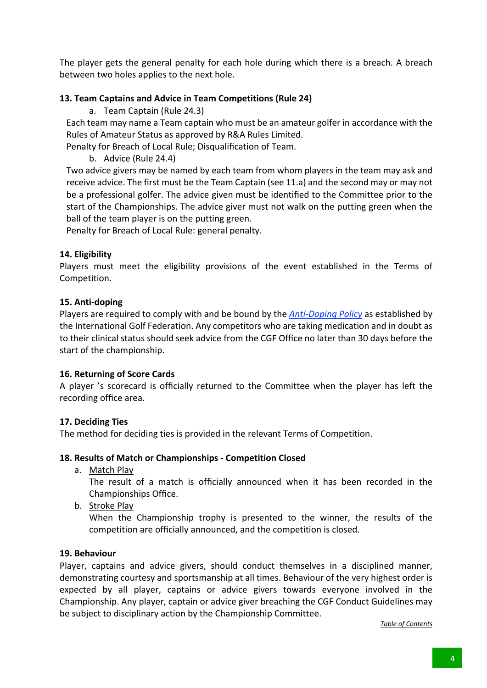The player gets the general penalty for each hole during which there is a breach. A breach between two holes applies to the next hole.

## **13. Team Captains and Advice in Team Competitions (Rule 24)**

a. Team Captain (Rule 24.3)

Each team may name a Team captain who must be an amateur golfer in accordance with the Rules of Amateur Status as approved by R&A Rules Limited.

Penalty for Breach of Local Rule; Disqualification of Team.

b. Advice (Rule 24.4)

Two advice givers may be named by each team from whom players in the team may ask and receive advice. The first must be the Team Captain (see 11.a) and the second may or may not be a professional golfer. The advice given must be identified to the Committee prior to the start of the Championships. The advice giver must not walk on the putting green when the ball of the team player is on the putting green.

Penalty for Breach of Local Rule: general penalty.

## **14. Eligibility**

Players must meet the eligibility provisions of the event established in the Terms of Competition.

## **15. Anti-doping**

Players are required to comply with and be bound by the *Anti-Doping Policy* as established by the International Golf Federation. Any competitors who are taking medication and in doubt as to their clinical status should seek advice from the CGF Office no later than 30 days before the start of the championship.

#### **16. Returning of Score Cards**

A player 's scorecard is officially returned to the Committee when the player has left the recording office area.

#### **17. Deciding Ties**

The method for deciding ties is provided in the relevant Terms of Competition.

#### **18. Results of Match or Championships - Competition Closed**

a. Match Play

The result of a match is officially announced when it has been recorded in the Championships Office.

b. Stroke Play

When the Championship trophy is presented to the winner, the results of the competition are officially announced, and the competition is closed.

#### **19. Behaviour**

Player, captains and advice givers, should conduct themselves in a disciplined manner, demonstrating courtesy and sportsmanship at all times. Behaviour of the very highest order is expected by all player, captains or advice givers towards everyone involved in the Championship. Any player, captain or advice giver breaching the CGF Conduct Guidelines may be subject to disciplinary action by the Championship Committee.

*Table of Contents*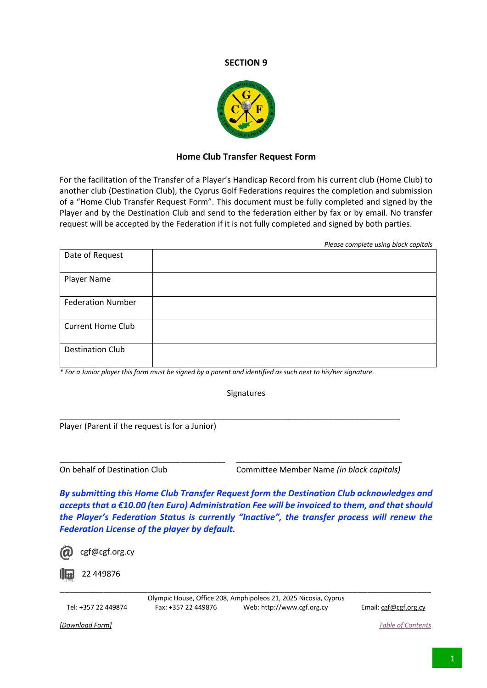

### **Home Club Transfer Request Form**

For the facilitation of the Transfer of a Player's Handicap Record from his current club (Home Club) to another club (Destination Club), the Cyprus Golf Federations requires the completion and submission of a "Home Club Transfer Request Form". This document must be fully completed and signed by the Player and by the Destination Club and send to the federation either by fax or by email. No transfer request will be accepted by the Federation if it is not fully completed and signed by both parties.

|                          | Please complete using block capitals |
|--------------------------|--------------------------------------|
| Date of Request          |                                      |
| Player Name              |                                      |
| <b>Federation Number</b> |                                      |
| <b>Current Home Club</b> |                                      |
| <b>Destination Club</b>  |                                      |

*\* For a Junior player this form must be signed by a parent and identified as such next to his/her signature.* 

\_\_\_\_\_\_\_\_\_\_\_\_\_\_\_\_\_\_\_\_\_\_\_\_\_\_\_\_\_\_\_\_\_\_\_\_\_\_\_\_\_\_\_\_\_\_\_\_\_\_\_\_\_\_\_\_\_\_\_\_\_\_\_\_\_\_\_\_\_\_\_\_\_\_\_\_

\_\_\_\_\_\_\_\_\_\_\_\_\_\_\_\_\_\_\_\_\_\_\_\_\_\_\_\_\_\_\_\_\_\_\_\_\_ \_\_\_\_\_\_\_\_\_\_\_\_\_\_\_\_\_\_\_\_\_\_\_\_\_\_\_\_\_\_\_\_\_\_\_\_\_

**Signatures** 

Player (Parent if the request is for a Junior)

On behalf of Destination Club Committee Member Name *(in block capitals)*

*By submitting this Home Club Transfer Request form the Destination Club acknowledges and accepts that a €10.00 (ten Euro) Administration Fee will be invoiced to them, and that should the Player's Federation Status is currently "Inactive", the transfer process will renew the Federation License of the player by default.*

22 449876

cgf@cgf.org.cy

Olympic House, Office 208, Amphipoleos 21, 2025 Nicosia, Cyprus Tel: +357 22 449874 Fax: +357 22 449876 Web: http://www.cgf.org.cy Email: cgf@cgf.org.cy

\_\_\_\_\_\_\_\_\_\_\_\_\_\_\_\_\_\_\_\_\_\_\_\_\_\_\_\_\_\_\_\_\_\_\_\_\_\_\_\_\_\_\_\_\_\_\_\_\_\_\_\_\_\_\_\_\_\_\_\_\_\_\_\_\_\_\_\_\_\_\_\_\_\_\_\_

*[Download Form] Table of Contents*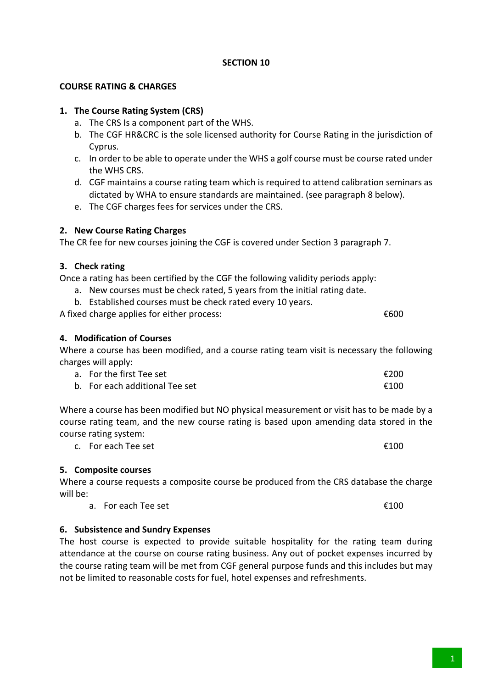## **COURSE RATING & CHARGES**

## **1. The Course Rating System (CRS)**

- a. The CRS Is a component part of the WHS.
- b. The CGF HR&CRC is the sole licensed authority for Course Rating in the jurisdiction of Cyprus.
- c. In order to be able to operate under the WHS a golf course must be course rated under the WHS CRS.
- d. CGF maintains a course rating team which is required to attend calibration seminars as dictated by WHA to ensure standards are maintained. (see paragraph 8 below).
- e. The CGF charges fees for services under the CRS.

## **2. New Course Rating Charges**

The CR fee for new courses joining the CGF is covered under Section 3 paragraph 7.

## **3. Check rating**

Once a rating has been certified by the CGF the following validity periods apply:

- a. New courses must be check rated, 5 years from the initial rating date.
- b. Established courses must be check rated every 10 years.

A fixed charge applies for either process:  $600$ 

## **4. Modification of Courses**

Where a course has been modified, and a course rating team visit is necessary the following charges will apply:

| a. For the first Tee set       | €200 |
|--------------------------------|------|
| b. For each additional Tee set | €100 |

Where a course has been modified but NO physical measurement or visit has to be made by a course rating team, and the new course rating is based upon amending data stored in the course rating system:

c. For each Tee set  $\epsilon$ 100

## **5. Composite courses**

Where a course requests a composite course be produced from the CRS database the charge will be:

a. For each Tee set  $\epsilon$ 100

## **6. Subsistence and Sundry Expenses**

The host course is expected to provide suitable hospitality for the rating team during attendance at the course on course rating business. Any out of pocket expenses incurred by the course rating team will be met from CGF general purpose funds and this includes but may not be limited to reasonable costs for fuel, hotel expenses and refreshments.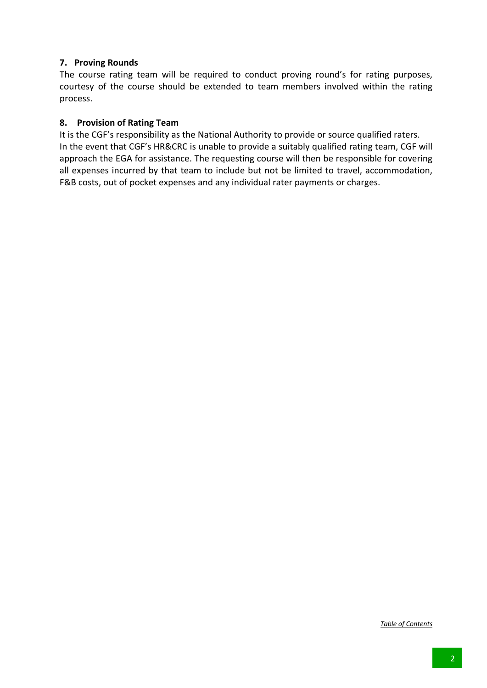## **7. Proving Rounds**

The course rating team will be required to conduct proving round's for rating purposes, courtesy of the course should be extended to team members involved within the rating process.

## **8. Provision of Rating Team**

It is the CGF's responsibility as the National Authority to provide or source qualified raters. In the event that CGF's HR&CRC is unable to provide a suitably qualified rating team, CGF will approach the EGA for assistance. The requesting course will then be responsible for covering all expenses incurred by that team to include but not be limited to travel, accommodation, F&B costs, out of pocket expenses and any individual rater payments or charges.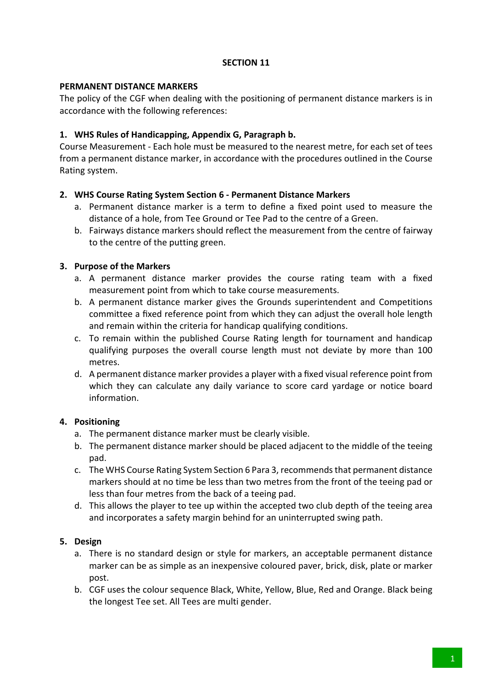## **PERMANENT DISTANCE MARKERS**

The policy of the CGF when dealing with the positioning of permanent distance markers is in accordance with the following references:

## **1. WHS Rules of Handicapping, Appendix G, Paragraph b.**

Course Measurement - Each hole must be measured to the nearest metre, for each set of tees from a permanent distance marker, in accordance with the procedures outlined in the Course Rating system.

## **2. WHS Course Rating System Section 6 - Permanent Distance Markers**

- a. Permanent distance marker is a term to define a fixed point used to measure the distance of a hole, from Tee Ground or Tee Pad to the centre of a Green.
- b. Fairways distance markers should reflect the measurement from the centre of fairway to the centre of the putting green.

## **3. Purpose of the Markers**

- a. A permanent distance marker provides the course rating team with a fixed measurement point from which to take course measurements.
- b. A permanent distance marker gives the Grounds superintendent and Competitions committee a fixed reference point from which they can adjust the overall hole length and remain within the criteria for handicap qualifying conditions.
- c. To remain within the published Course Rating length for tournament and handicap qualifying purposes the overall course length must not deviate by more than 100 metres.
- d. A permanent distance marker provides a player with a fixed visual reference point from which they can calculate any daily variance to score card yardage or notice board information.

## **4. Positioning**

- a. The permanent distance marker must be clearly visible.
- b. The permanent distance marker should be placed adjacent to the middle of the teeing pad.
- c. The WHS Course Rating System Section 6 Para 3, recommends that permanent distance markers should at no time be less than two metres from the front of the teeing pad or less than four metres from the back of a teeing pad.
- d. This allows the player to tee up within the accepted two club depth of the teeing area and incorporates a safety margin behind for an uninterrupted swing path.

## **5. Design**

- a. There is no standard design or style for markers, an acceptable permanent distance marker can be as simple as an inexpensive coloured paver, brick, disk, plate or marker post.
- b. CGF uses the colour sequence Black, White, Yellow, Blue, Red and Orange. Black being the longest Tee set. All Tees are multi gender.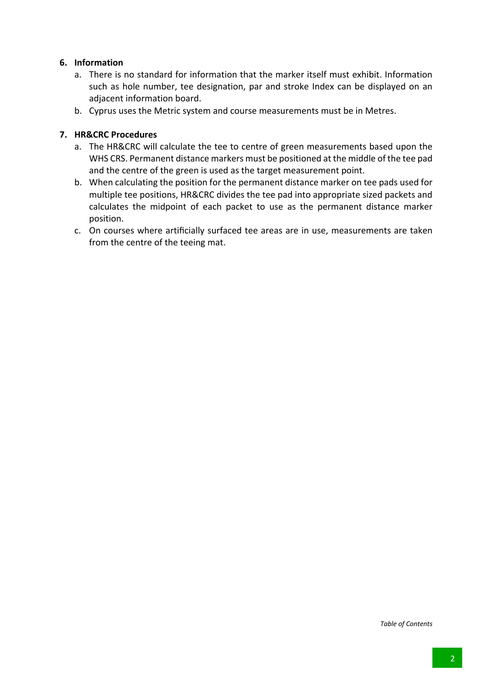## **6. Information**

- a. There is no standard for information that the marker itself must exhibit. Information such as hole number, tee designation, par and stroke Index can be displayed on an adjacent information board.
- b. Cyprus uses the Metric system and course measurements must be in Metres.

## **7. HR&CRC Procedures**

- a. The HR&CRC will calculate the tee to centre of green measurements based upon the WHS CRS. Permanent distance markers must be positioned at the middle of the tee pad and the centre of the green is used as the target measurement point.
- b. When calculating the position for the permanent distance marker on tee pads used for multiple tee positions, HR&CRC divides the tee pad into appropriate sized packets and calculates the midpoint of each packet to use as the permanent distance marker position.
- c. On courses where artificially surfaced tee areas are in use, measurements are taken from the centre of the teeing mat.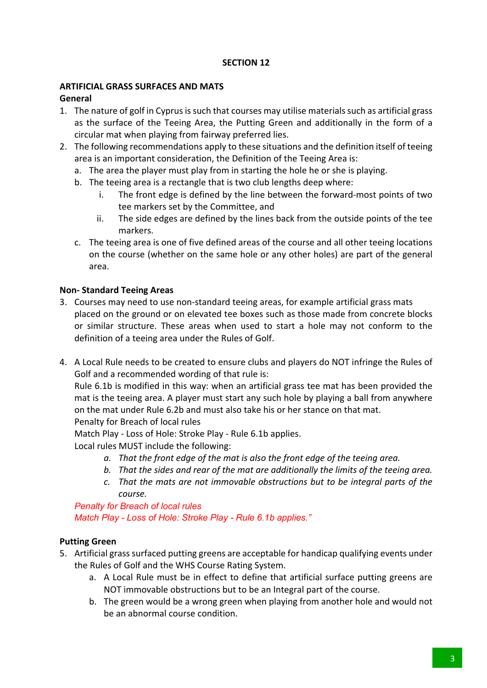## **ARTIFICIAL GRASS SURFACES AND MATS**

## **General**

- 1. The nature of golf in Cyprus is such that courses may utilise materials such as artificial grass as the surface of the Teeing Area, the Putting Green and additionally in the form of a circular mat when playing from fairway preferred lies.
- 2. The following recommendations apply to these situations and the definition itself of teeing area is an important consideration, the Definition of the Teeing Area is:
	- a. The area the player must play from in starting the hole he or she is playing.
	- b. The teeing area is a rectangle that is two club lengths deep where:
		- i. The front edge is defined by the line between the forward-most points of two tee markers set by the Committee, and
		- ii. The side edges are defined by the lines back from the outside points of the tee markers.
	- c. The teeing area is one of five defined areas of the course and all other teeing locations on the course (whether on the same hole or any other holes) are part of the general area.

## **Non- Standard Teeing Areas**

- 3. Courses may need to use non-standard teeing areas, for example artificial grass mats placed on the ground or on elevated tee boxes such as those made from concrete blocks or similar structure. These areas when used to start a hole may not conform to the definition of a teeing area under the Rules of Golf.
- 4. A Local Rule needs to be created to ensure clubs and players do NOT infringe the Rules of Golf and a recommended wording of that rule is:

Rule 6.1b is modified in this way: when an artificial grass tee mat has been provided the mat is the teeing area. A player must start any such hole by playing a ball from anywhere on the mat under Rule 6.2b and must also take his or her stance on that mat.

Penalty for Breach of local rules

Match Play - Loss of Hole: Stroke Play - Rule 6.1b applies.

Local rules MUST include the following:

- *a. That the front edge of the mat is also the front edge of the teeing area.*
- *b. That the sides and rear of the mat are additionally the limits of the teeing area.*
- *c. That the mats are not immovable obstructions but to be integral parts of the course.*

*Penalty for Breach of local rules Match Play - Loss of Hole: Stroke Play - Rule 6.1b applies."*

## **Putting Green**

- 5. Artificial grass surfaced putting greens are acceptable for handicap qualifying events under the Rules of Golf and the WHS Course Rating System.
	- a. A Local Rule must be in effect to define that artificial surface putting greens are NOT immovable obstructions but to be an Integral part of the course.
	- b. The green would be a wrong green when playing from another hole and would not be an abnormal course condition.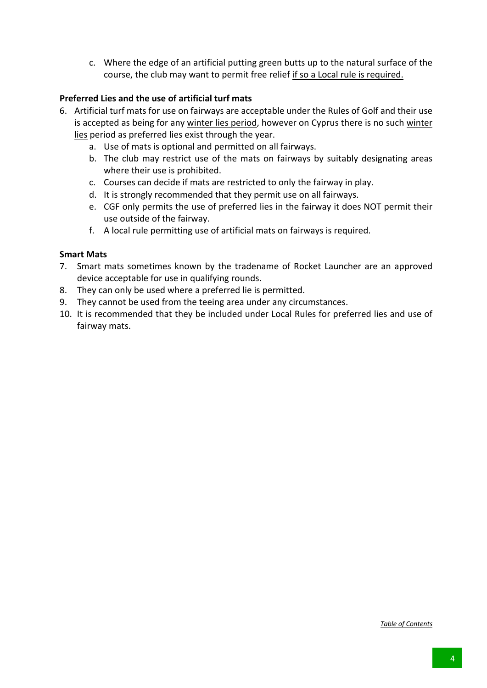c. Where the edge of an artificial putting green butts up to the natural surface of the course, the club may want to permit free relief if so a Local rule is required.

## **Preferred Lies and the use of artificial turf mats**

- 6. Artificial turf mats for use on fairways are acceptable under the Rules of Golf and their use is accepted as being for any winter lies period, however on Cyprus there is no such winter lies period as preferred lies exist through the year.
	- a. Use of mats is optional and permitted on all fairways.
	- b. The club may restrict use of the mats on fairways by suitably designating areas where their use is prohibited.
	- c. Courses can decide if mats are restricted to only the fairway in play.
	- d. It is strongly recommended that they permit use on all fairways.
	- e. CGF only permits the use of preferred lies in the fairway it does NOT permit their use outside of the fairway.
	- f. A local rule permitting use of artificial mats on fairways is required.

## **Smart Mats**

- 7. Smart mats sometimes known by the tradename of Rocket Launcher are an approved device acceptable for use in qualifying rounds.
- 8. They can only be used where a preferred lie is permitted.
- 9. They cannot be used from the teeing area under any circumstances.
- 10. It is recommended that they be included under Local Rules for preferred lies and use of fairway mats.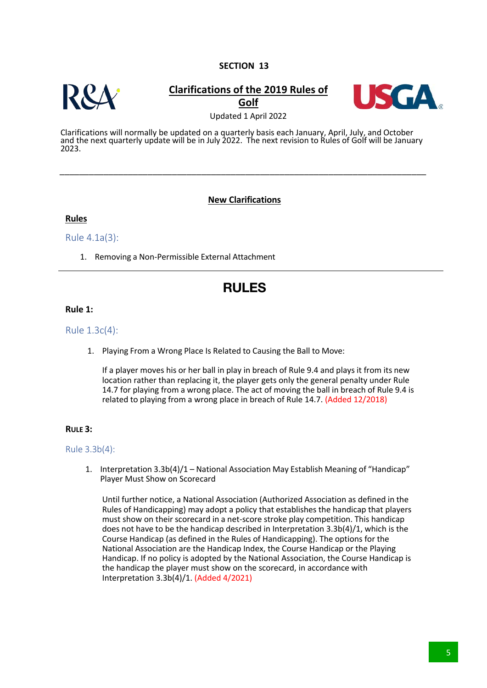

## **Clarifications of the 2019 Rules of Golf**



Updated 1 April 2022

Clarifications will normally be updated on a quarterly basis each January, April, July, and October and the next quarterly update will be in July 2022. The next revision to Rules of Golf will be January 2023.

\_\_\_\_\_\_\_\_\_\_\_\_\_\_\_\_\_\_\_\_\_\_\_\_\_\_\_\_\_\_\_\_\_\_\_\_\_\_\_\_\_\_\_\_\_\_\_\_\_\_\_\_\_\_\_\_\_\_\_\_\_\_\_\_\_\_\_\_\_\_\_\_\_\_\_

## **New Clarifications**

#### **Rules**

Rule 4.1a(3):

1. Removing a Non-Permissible External Attachment

## **RULES**

#### **Rule 1:**

Rule 1.3c(4):

1. Playing From a Wrong Place Is Related to Causing the Ball to Move:

If a player moves his or her ball in play in breach of Rule 9.4 and plays it from its new location rather than replacing it, the player gets only the general penalty under Rule 14.7 for playing from a wrong place. The act of moving the ball in breach of Rule 9.4 is related to playing from a wrong place in breach of Rule 14.7. (Added 12/2018)

#### **RULE 3:**

#### Rule 3.3b(4):

1. Interpretation 3.3b(4)/1 – National Association May Establish Meaning of "Handicap" Player Must Show on Scorecard

Until further notice, a National Association (Authorized Association as defined in the Rules of Handicapping) may adopt a policy that establishes the handicap that players must show on their scorecard in a net-score stroke play competition. This handicap does not have to be the handicap described in Interpretation 3.3b(4)/1, which is the Course Handicap (as defined in the Rules of Handicapping). The options for the National Association are the Handicap Index, the Course Handicap or the Playing Handicap. If no policy is adopted by the National Association, the Course Handicap is the handicap the player must show on the scorecard, in accordance with Interpretation 3.3b(4)/1. (Added 4/2021)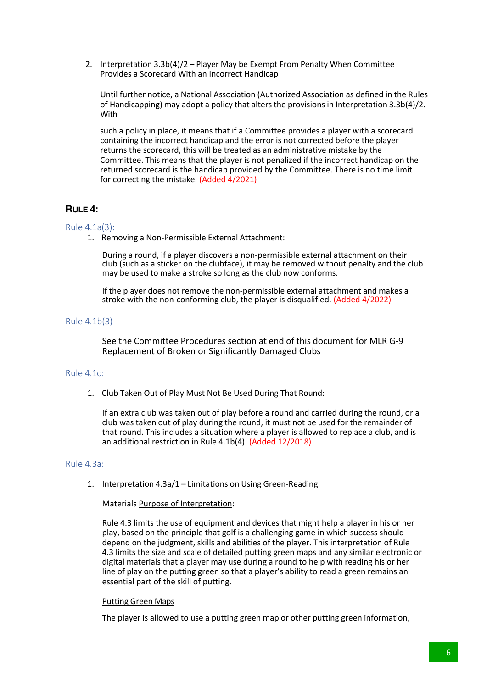2. Interpretation 3.3b(4)/2 – Player May be Exempt From Penalty When Committee Provides a Scorecard With an Incorrect Handicap

Until further notice, a National Association (Authorized Association as defined in the Rules of Handicapping) may adopt a policy that alters the provisions in Interpretation 3.3b(4)/2. With

such a policy in place, it means that if a Committee provides a player with a scorecard containing the incorrect handicap and the error is not corrected before the player returns the scorecard, this will be treated as an administrative mistake by the Committee. This means that the player is not penalized if the incorrect handicap on the returned scorecard is the handicap provided by the Committee. There is no time limit for correcting the mistake. (Added 4/2021)

## **RULE 4:**

#### Rule 4.1a(3):

1. Removing a Non-Permissible External Attachment:

During a round, if a player discovers a non-permissible external attachment on their club (such as a sticker on the clubface), it may be removed without penalty and the club may be used to make a stroke so long as the club now conforms.

If the player does not remove the non-permissible external attachment and makes a stroke with the non-conforming club, the player is disqualified. (Added 4/2022)

#### Rule 4.1b(3)

See the Committee Procedures section at end of this document for MLR G-9 Replacement of Broken or Significantly Damaged Clubs

#### Rule 4.1c:

1. Club Taken Out of Play Must Not Be Used During That Round:

If an extra club was taken out of play before a round and carried during the round, or a club was taken out of play during the round, it must not be used for the remainder of that round. This includes a situation where a player is allowed to replace a club, and is an additional restriction in Rule 4.1b(4). (Added 12/2018)

#### Rule 4.3a:

1. Interpretation 4.3a/1 – Limitations on Using Green-Reading

#### Materials Purpose of Interpretation:

Rule 4.3 limits the use of equipment and devices that might help a player in his or her play, based on the principle that golf is a challenging game in which success should depend on the judgment, skills and abilities of the player. This interpretation of Rule 4.3 limits the size and scale of detailed putting green maps and any similar electronic or digital materials that a player may use during a round to help with reading his or her line of play on the putting green so that a player's ability to read a green remains an essential part of the skill of putting.

#### Putting Green Maps

The player is allowed to use a putting green map or other putting green information,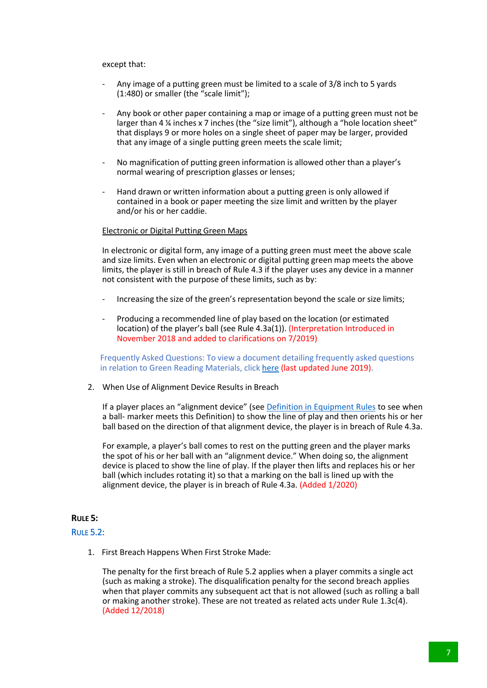#### except that:

- Any image of a putting green must be limited to a scale of 3/8 inch to 5 yards (1:480) or smaller (the "scale limit");
- Any book or other paper containing a map or image of a putting green must not be larger than 4 ¼ inches x 7 inches (the "size limit"), although a "hole location sheet" that displays 9 or more holes on a single sheet of paper may be larger, provided that any image of a single putting green meets the scale limit;
- No magnification of putting green information is allowed other than a player's normal wearing of prescription glasses or lenses;
- Hand drawn or written information about a putting green is only allowed if contained in a book or paper meeting the size limit and written by the player and/or his or her caddie.

#### Electronic or Digital Putting Green Maps

In electronic or digital form, any image of a putting green must meet the above scale and size limits. Even when an electronic or digital putting green map meets the above limits, the player is still in breach of Rule 4.3 if the player uses any device in a manner not consistent with the purpose of these limits, such as by:

- Increasing the size of the green's representation beyond the scale or size limits;
- Producing a recommended line of play based on the location (or estimated location) of the player's ball (see Rule 4.3a(1)). (Interpretation Introduced in November 2018 and added to clarifications on 7/2019)

Frequently Asked Questions: To view a document detailing frequently asked questions in relation to Green Reading Materials, click here (last updated June 2019).

2. When Use of Alignment Device Results in Breach

If a player places an "alignment device" (see Definition in Equipment Rules to see when a ball- marker meets this Definition) to show the line of play and then orients his or her ball based on the direction of that alignment device, the player is in breach of Rule 4.3a.

For example, a player's ball comes to rest on the putting green and the player marks the spot of his or her ball with an "alignment device." When doing so, the alignment device is placed to show the line of play. If the player then lifts and replaces his or her ball (which includes rotating it) so that a marking on the ball is lined up with the alignment device, the player is in breach of Rule 4.3a. (Added 1/2020)

#### **RULE 5:**

#### RULE 5.2:

1. First Breach Happens When First Stroke Made:

The penalty for the first breach of Rule 5.2 applies when a player commits a single act (such as making a stroke). The disqualification penalty for the second breach applies when that player commits any subsequent act that is not allowed (such as rolling a ball or making another stroke). These are not treated as related acts under Rule 1.3c(4). (Added 12/2018)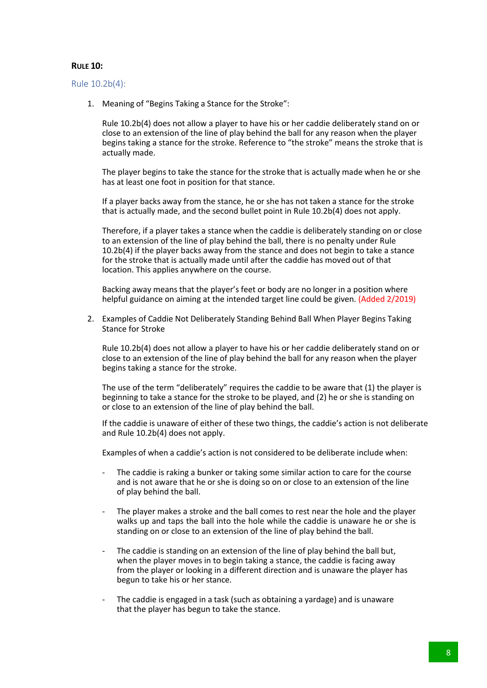#### **RULE 10:**

#### Rule 10.2b(4):

1. Meaning of "Begins Taking a Stance for the Stroke":

Rule 10.2b(4) does not allow a player to have his or her caddie deliberately stand on or close to an extension of the line of play behind the ball for any reason when the player begins taking a stance for the stroke. Reference to "the stroke" means the stroke that is actually made.

The player begins to take the stance for the stroke that is actually made when he or she has at least one foot in position for that stance.

If a player backs away from the stance, he or she has not taken a stance for the stroke that is actually made, and the second bullet point in Rule 10.2b(4) does not apply.

Therefore, if a player takes a stance when the caddie is deliberately standing on or close to an extension of the line of play behind the ball, there is no penalty under Rule 10.2b(4) if the player backs away from the stance and does not begin to take a stance for the stroke that is actually made until after the caddie has moved out of that location. This applies anywhere on the course.

Backing away means that the player's feet or body are no longer in a position where helpful guidance on aiming at the intended target line could be given. (Added 2/2019)

2. Examples of Caddie Not Deliberately Standing Behind Ball When Player Begins Taking Stance for Stroke

Rule 10.2b(4) does not allow a player to have his or her caddie deliberately stand on or close to an extension of the line of play behind the ball for any reason when the player begins taking a stance for the stroke.

The use of the term "deliberately" requires the caddie to be aware that (1) the player is beginning to take a stance for the stroke to be played, and (2) he or she is standing on or close to an extension of the line of play behind the ball.

If the caddie is unaware of either of these two things, the caddie's action is not deliberate and Rule 10.2b(4) does not apply.

Examples of when a caddie's action is not considered to be deliberate include when:

- The caddie is raking a bunker or taking some similar action to care for the course and is not aware that he or she is doing so on or close to an extension of the line of play behind the ball.
- The player makes a stroke and the ball comes to rest near the hole and the player walks up and taps the ball into the hole while the caddie is unaware he or she is standing on or close to an extension of the line of play behind the ball.
- The caddie is standing on an extension of the line of play behind the ball but. when the player moves in to begin taking a stance, the caddie is facing away from the player or looking in a different direction and is unaware the player has begun to take his or her stance.
- The caddie is engaged in a task (such as obtaining a yardage) and is unaware that the player has begun to take the stance.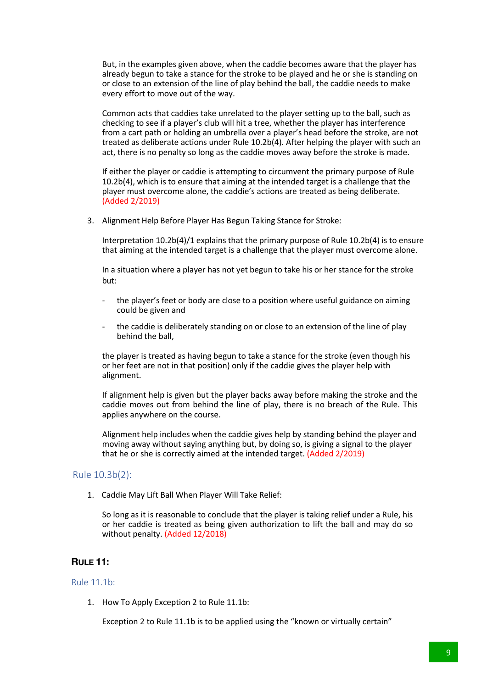But, in the examples given above, when the caddie becomes aware that the player has already begun to take a stance for the stroke to be played and he or she is standing on or close to an extension of the line of play behind the ball, the caddie needs to make every effort to move out of the way.

Common acts that caddies take unrelated to the player setting up to the ball, such as checking to see if a player's club will hit a tree, whether the player has interference from a cart path or holding an umbrella over a player's head before the stroke, are not treated as deliberate actions under Rule 10.2b(4). After helping the player with such an act, there is no penalty so long as the caddie moves away before the stroke is made.

If either the player or caddie is attempting to circumvent the primary purpose of Rule 10.2b(4), which is to ensure that aiming at the intended target is a challenge that the player must overcome alone, the caddie's actions are treated as being deliberate. (Added 2/2019)

3. Alignment Help Before Player Has Begun Taking Stance for Stroke:

Interpretation 10.2b(4)/1 explains that the primary purpose of Rule 10.2b(4) is to ensure that aiming at the intended target is a challenge that the player must overcome alone.

In a situation where a player has not yet begun to take his or her stance for the stroke but:

- the player's feet or body are close to a position where useful guidance on aiming could be given and
- the caddie is deliberately standing on or close to an extension of the line of play behind the ball,

the player is treated as having begun to take a stance for the stroke (even though his or her feet are not in that position) only if the caddie gives the player help with alignment.

If alignment help is given but the player backs away before making the stroke and the caddie moves out from behind the line of play, there is no breach of the Rule. This applies anywhere on the course.

Alignment help includes when the caddie gives help by standing behind the player and moving away without saying anything but, by doing so, is giving a signal to the player that he or she is correctly aimed at the intended target. (Added 2/2019)

#### Rule 10.3b(2):

1. Caddie May Lift Ball When Player Will Take Relief:

So long as it is reasonable to conclude that the player is taking relief under a Rule, his or her caddie is treated as being given authorization to lift the ball and may do so without penalty. (Added 12/2018)

#### **RULE 11:**

#### Rule 11.1b:

1. How To Apply Exception 2 to Rule 11.1b:

Exception 2 to Rule 11.1b is to be applied using the "known or virtually certain"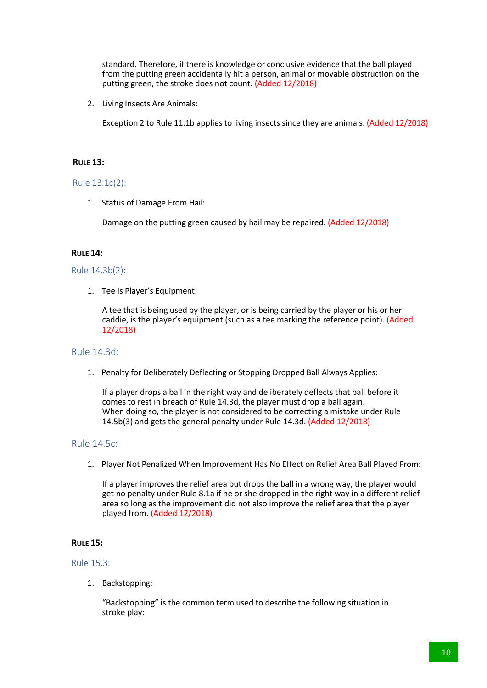standard. Therefore, if there is knowledge or conclusive evidence that the ball played from the putting green accidentally hit a person, animal or movable obstruction on the putting green, the stroke does not count. (Added 12/2018)

2. Living Insects Are Animals:

Exception 2 to Rule 11.1b applies to living insects since they are animals. (Added 12/2018)

#### **RULE 13:**

#### Rule 13.1c(2):

1. Status of Damage From Hail:

Damage on the putting green caused by hail may be repaired. (Added 12/2018)

#### **RULE 14:**

#### Rule 14.3b(2):

1. Tee Is Player's Equipment:

A tee that is being used by the player, or is being carried by the player or his or her caddie, is the player's equipment (such as a tee marking the reference point). (Added 12/2018)

#### Rule 14.3d:

1. Penalty for Deliberately Deflecting or Stopping Dropped Ball Always Applies:

If a player drops a ball in the right way and deliberately deflects that ball before it comes to rest in breach of Rule 14.3d, the player must drop a ball again. When doing so, the player is not considered to be correcting a mistake under Rule 14.5b(3) and gets the general penalty under Rule 14.3d. (Added 12/2018)

#### Rule 14.5c:

1. Player Not Penalized When Improvement Has No Effect on Relief Area Ball Played From:

If a player improves the relief area but drops the ball in a wrong way, the player would get no penalty under Rule 8.1a if he or she dropped in the right way in a different relief area so long as the improvement did not also improve the relief area that the player played from. (Added 12/2018)

#### **RULE 15:**

#### Rule 15.3:

1. Backstopping:

"Backstopping" is the common term used to describe the following situation in stroke play: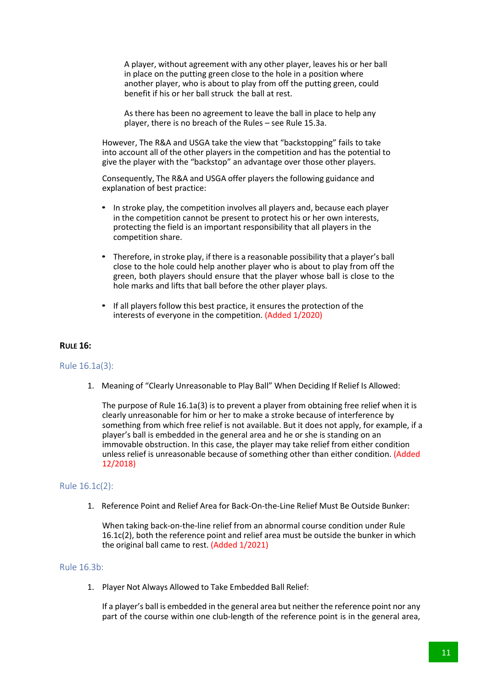A player, without agreement with any other player, leaves his or her ball in place on the putting green close to the hole in a position where another player, who is about to play from off the putting green, could benefit if his or her ball struck the ball at rest.

As there has been no agreement to leave the ball in place to help any player, there is no breach of the Rules – see Rule 15.3a.

However, The R&A and USGA take the view that "backstopping" fails to take into account all of the other players in the competition and has the potential to give the player with the "backstop" an advantage over those other players.

Consequently, The R&A and USGA offer players the following guidance and explanation of best practice:

- In stroke play, the competition involves all players and, because each player in the competition cannot be present to protect his or her own interests, protecting the field is an important responsibility that all players in the competition share.
- Therefore, in stroke play, if there is a reasonable possibility that a player's ball close to the hole could help another player who is about to play from off the green, both players should ensure that the player whose ball is close to the hole marks and lifts that ball before the other player plays.
- If all players follow this best practice, it ensures the protection of the interests of everyone in the competition. (Added 1/2020)

#### **RULE 16:**

#### Rule 16.1a(3):

1. Meaning of "Clearly Unreasonable to Play Ball" When Deciding If Relief Is Allowed:

The purpose of Rule 16.1a(3) is to prevent a player from obtaining free relief when it is clearly unreasonable for him or her to make a stroke because of interference by something from which free relief is not available. But it does not apply, for example, if a player's ball is embedded in the general area and he or she is standing on an immovable obstruction. In this case, the player may take relief from either condition unless relief is unreasonable because of something other than either condition. (Added 12/2018)

#### Rule 16.1c(2):

1. Reference Point and Relief Area for Back-On-the-Line Relief Must Be Outside Bunker:

When taking back-on-the-line relief from an abnormal course condition under Rule 16.1c(2), both the reference point and relief area must be outside the bunker in which the original ball came to rest. (Added 1/2021)

#### Rule 16.3b:

1. Player Not Always Allowed to Take Embedded Ball Relief:

If a player's ball is embedded in the general area but neither the reference point nor any part of the course within one club-length of the reference point is in the general area,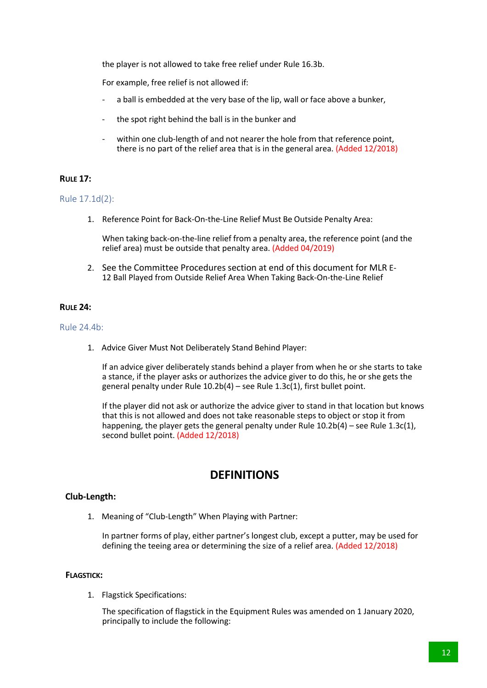the player is not allowed to take free relief under Rule 16.3b.

For example, free relief is not allowed if:

- a ball is embedded at the very base of the lip, wall or face above a bunker,
- the spot right behind the ball is in the bunker and
- within one club-length of and not nearer the hole from that reference point, there is no part of the relief area that is in the general area. (Added 12/2018)

#### **RULE 17:**

#### Rule 17.1d(2):

1. Reference Point for Back-On-the-Line Relief Must Be Outside Penalty Area:

When taking back-on-the-line relief from a penalty area, the reference point (and the relief area) must be outside that penalty area. (Added 04/2019)

2. See the Committee Procedures section at end of this document for MLR E-12 Ball Played from Outside Relief Area When Taking Back-On-the-Line Relief

#### **RULE 24:**

Rule 24.4b:

1. Advice Giver Must Not Deliberately Stand Behind Player:

If an advice giver deliberately stands behind a player from when he or she starts to take a stance, if the player asks or authorizes the advice giver to do this, he or she gets the general penalty under Rule  $10.2b(4)$  – see Rule  $1.3c(1)$ , first bullet point.

If the player did not ask or authorize the advice giver to stand in that location but knows that this is not allowed and does not take reasonable steps to object or stop it from happening, the player gets the general penalty under Rule 10.2b(4) – see Rule 1.3c(1), second bullet point. (Added 12/2018)

## **DEFINITIONS**

#### **Club-Length:**

1. Meaning of "Club-Length" When Playing with Partner:

In partner forms of play, either partner's longest club, except a putter, may be used for defining the teeing area or determining the size of a relief area. (Added 12/2018)

#### **FLAGSTICK:**

1. Flagstick Specifications:

The specification of flagstick in the Equipment Rules was amended on 1 January 2020, principally to include the following: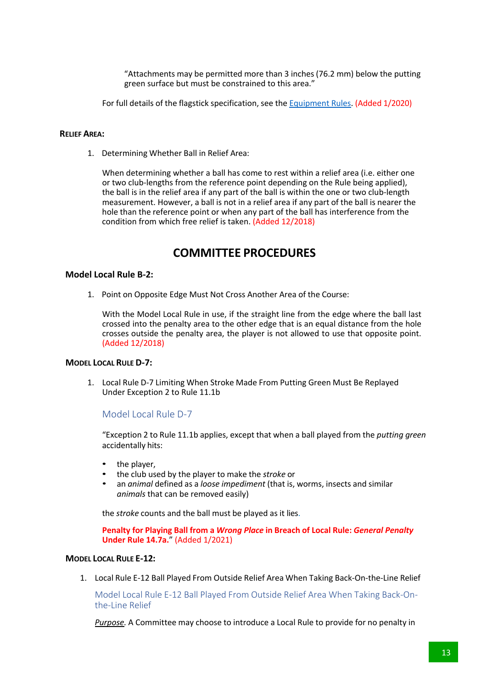"Attachments may be permitted more than 3 inches (76.2 mm) below the putting green surface but must be constrained to this area."

For full details of the flagstick specification, see the Equipment Rules. (Added 1/2020)

#### **RELIEF AREA:**

1. Determining Whether Ball in Relief Area:

When determining whether a ball has come to rest within a relief area (i.e. either one or two club-lengths from the reference point depending on the Rule being applied), the ball is in the relief area if any part of the ball is within the one or two club-length measurement. However, a ball is not in a relief area if any part of the ball is nearer the hole than the reference point or when any part of the ball has interference from the condition from which free relief is taken. (Added 12/2018)

## **COMMITTEE PROCEDURES**

#### **Model Local Rule B-2:**

1. Point on Opposite Edge Must Not Cross Another Area of the Course:

With the Model Local Rule in use, if the straight line from the edge where the ball last crossed into the penalty area to the other edge that is an equal distance from the hole crosses outside the penalty area, the player is not allowed to use that opposite point. (Added 12/2018)

#### **MODEL LOCAL RULE D-7:**

1. Local Rule D-7 Limiting When Stroke Made From Putting Green Must Be Replayed Under Exception 2 to Rule 11.1b

#### Model Local Rule D-7

"Exception 2 to Rule 11.1b applies, except that when a ball played from the *putting green* accidentally hits:

- the player,
- the club used by the player to make the *stroke* or
- an *animal* defined as a *loose impediment* (that is, worms, insects and similar *animals* that can be removed easily)

the *stroke* counts and the ball must be played as it lies.

**Penalty for Playing Ball from a** *Wrong Place* **in Breach of Local Rule:** *General Penalty* **Under Rule 14.7a.**" (Added 1/2021)

#### **MODEL LOCAL RULE E-12:**

1. Local Rule E-12 Ball Played From Outside Relief Area When Taking Back-On-the-Line Relief

Model Local Rule E-12 Ball Played From Outside Relief Area When Taking Back-Onthe-Line Relief

*Purpose.* A Committee may choose to introduce a Local Rule to provide for no penalty in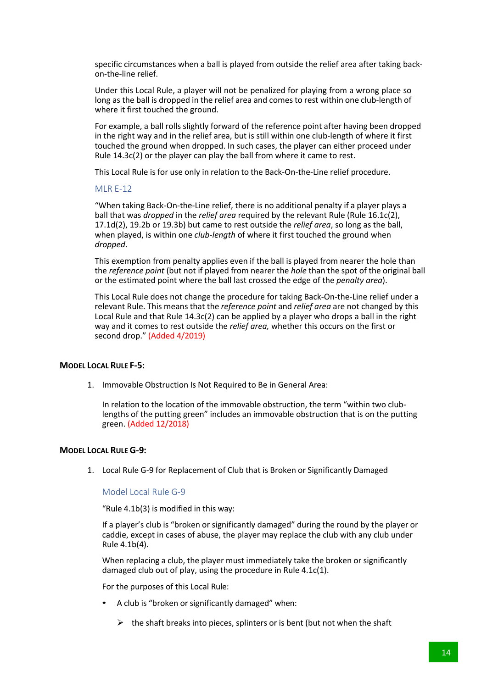specific circumstances when a ball is played from outside the relief area after taking backon-the-line relief.

Under this Local Rule, a player will not be penalized for playing from a wrong place so long as the ball is dropped in the relief area and comes to rest within one club-length of where it first touched the ground.

For example, a ball rolls slightly forward of the reference point after having been dropped in the right way and in the relief area, but is still within one club-length of where it first touched the ground when dropped. In such cases, the player can either proceed under Rule 14.3c(2) or the player can play the ball from where it came to rest.

This Local Rule is for use only in relation to the Back-On-the-Line relief procedure.

#### MLR E-12

"When taking Back-On-the-Line relief, there is no additional penalty if a player plays a ball that was *dropped* in the *relief area* required by the relevant Rule (Rule 16.1c(2), 17.1d(2), 19.2b or 19.3b) but came to rest outside the *relief area*, so long as the ball, when played, is within one *club-length* of where it first touched the ground when *dropped*.

This exemption from penalty applies even if the ball is played from nearer the hole than the *reference point* (but not if played from nearer the *hole* than the spot of the original ball or the estimated point where the ball last crossed the edge of the *penalty area*).

This Local Rule does not change the procedure for taking Back-On-the-Line relief under a relevant Rule. This means that the *reference point* and *relief area* are not changed by this Local Rule and that Rule 14.3c(2) can be applied by a player who drops a ball in the right way and it comes to rest outside the *relief area,* whether this occurs on the first or second drop." (Added 4/2019)

#### **MODEL LOCAL RULE F-5:**

1. Immovable Obstruction Is Not Required to Be in General Area:

In relation to the location of the immovable obstruction, the term "within two clublengths of the putting green" includes an immovable obstruction that is on the putting green. (Added 12/2018)

#### **MODEL LOCAL RULE G-9:**

1. Local Rule G-9 for Replacement of Club that is Broken or Significantly Damaged

Model Local Rule G-9

"Rule 4.1b(3) is modified in this way:

If a player's club is "broken or significantly damaged" during the round by the player or caddie, except in cases of abuse, the player may replace the club with any club under Rule 4.1b(4).

When replacing a club, the player must immediately take the broken or significantly damaged club out of play, using the procedure in Rule 4.1c(1).

For the purposes of this Local Rule:

- A club is "broken or significantly damaged" when:
	- $\triangleright$  the shaft breaks into pieces, splinters or is bent (but not when the shaft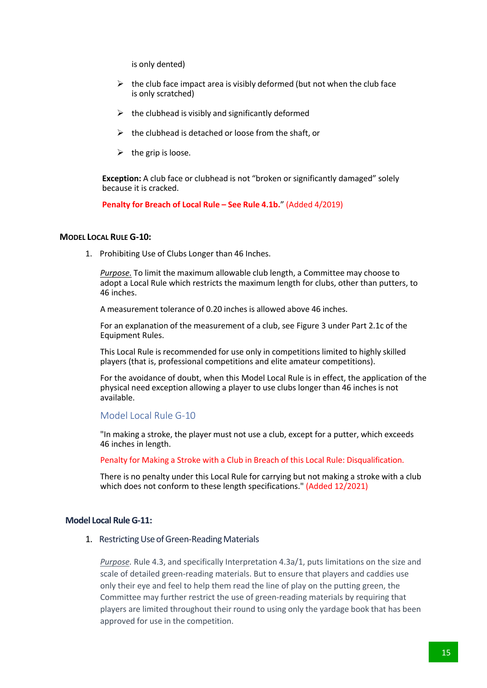is only dented)

- $\triangleright$  the club face impact area is visibly deformed (but not when the club face is only scratched)
- $\triangleright$  the clubhead is visibly and significantly deformed
- $\triangleright$  the clubhead is detached or loose from the shaft, or
- $\triangleright$  the grip is loose.

**Exception:** A club face or clubhead is not "broken or significantly damaged" solely because it is cracked.

**Penalty for Breach of Local Rule – See Rule 4.1b.**" (Added 4/2019)

#### **MODEL LOCAL RULE G-10:**

1. Prohibiting Use of Clubs Longer than 46 Inches.

*Purpose.* To limit the maximum allowable club length, a Committee may choose to adopt a Local Rule which restricts the maximum length for clubs, other than putters, to 46 inches.

A measurement tolerance of 0.20 inches is allowed above 46 inches.

For an explanation of the measurement of a club, see Figure 3 under Part 2.1c of the Equipment Rules.

This Local Rule is recommended for use only in competitions limited to highly skilled players (that is, professional competitions and elite amateur competitions).

For the avoidance of doubt, when this Model Local Rule is in effect, the application of the physical need exception allowing a player to use clubs longer than 46 inches is not available.

#### Model Local Rule G-10

"In making a stroke, the player must not use a club, except for a putter, which exceeds 46 inches in length.

Penalty for Making a Stroke with a Club in Breach of this Local Rule: Disqualification.

There is no penalty under this Local Rule for carrying but not making a stroke with a club which does not conform to these length specifications." (Added 12/2021)

#### **Model Local RuleG-11:**

1. Restricting Use of Green-Reading Materials

*Purpose.* Rule 4.3, and specifically Interpretation 4.3a/1, puts limitations on the size and scale of detailed green-reading materials. But to ensure that players and caddies use only their eye and feel to help them read the line of play on the putting green, the Committee may further restrict the use of green-reading materials by requiring that players are limited throughout their round to using only the yardage book that has been approved for use in the competition.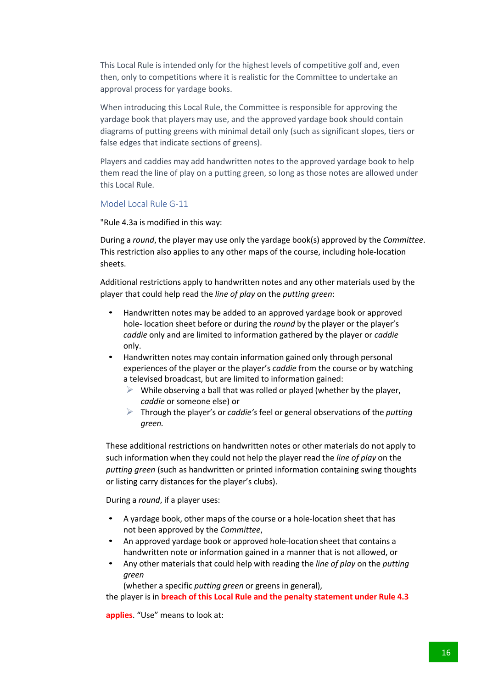This Local Rule is intended only for the highest levels of competitive golf and, even then, only to competitions where it is realistic for the Committee to undertake an approval process for yardage books.

When introducing this Local Rule, the Committee is responsible for approving the yardage book that players may use, and the approved yardage book should contain diagrams of putting greens with minimal detail only (such as significant slopes, tiers or false edges that indicate sections of greens).

Players and caddies may add handwritten notes to the approved yardage book to help them read the line of play on a putting green, so long as those notes are allowed under this Local Rule.

#### Model Local Rule G-11

"Rule 4.3a is modified in this way:

During a *round*, the player may use only the yardage book(s) approved by the *Committee*. This restriction also applies to any other maps of the course, including hole-location sheets.

Additional restrictions apply to handwritten notes and any other materials used by the player that could help read the *line of play* on the *putting green*:

- Handwritten notes may be added to an approved yardage book or approved hole- location sheet before or during the *round* by the player or the player's *caddie* only and are limited to information gathered by the player or *caddie*  only.
- Handwritten notes may contain information gained only through personal experiences of the player or the player's *caddie* from the course or by watching a televised broadcast, but are limited to information gained:
	- $\triangleright$  While observing a ball that was rolled or played (whether by the player, *caddie* or someone else) or
	- Ø Through the player's or *caddie's* feel or general observations of the *putting green.*

These additional restrictions on handwritten notes or other materials do not apply to such information when they could not help the player read the *line of play* on the *putting green* (such as handwritten or printed information containing swing thoughts or listing carry distances for the player's clubs).

During a *round*, if a player uses:

- A yardage book, other maps of the course or a hole-location sheet that has not been approved by the *Committee*,
- An approved yardage book or approved hole-location sheet that contains a handwritten note or information gained in a manner that is not allowed, or
- Any other materials that could help with reading the *line of play* on the *putting green*

(whether a specific *putting green* or greens in general),

the player is in **breach of this Local Rule and the penalty statement under Rule 4.3**

**applies**. "Use" means to look at: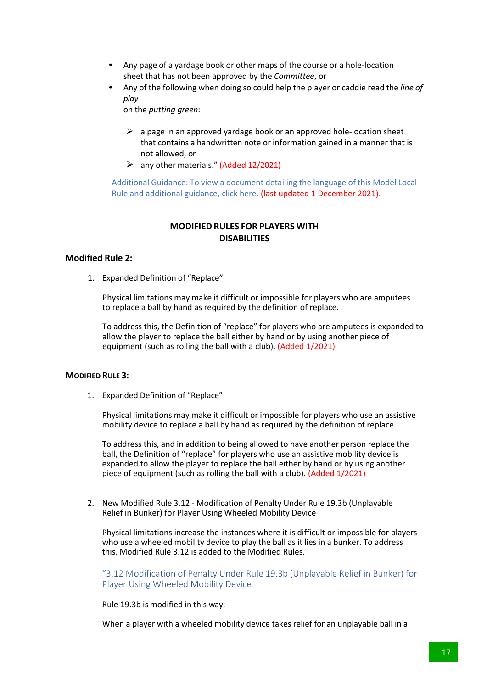- Any page of a yardage book or other maps of the course or a hole-location sheet that has not been approved by the *Committee*, or
- Any of the following when doing so could help the player or caddie read the *line of play*

on the *putting green*:

- $\triangleright$  a page in an approved yardage book or an approved hole-location sheet that contains a handwritten note or information gained in a manner that is not allowed, or
- $\triangleright$  any other materials." (Added 12/2021)

Additional Guidance: To view a document detailing the language of this Model Local Rule and additional guidance, click here. (last updated 1 December 2021).

#### **MODIFIED RULES FOR PLAYERS WITH DISABILITIES**

### **Modified Rule 2:**

1. Expanded Definition of "Replace"

Physical limitations may make it difficult or impossible for players who are amputees to replace a ball by hand as required by the definition of replace.

To address this, the Definition of "replace" for players who are amputees is expanded to allow the player to replace the ball either by hand or by using another piece of equipment (such as rolling the ball with a club). (Added 1/2021)

#### **MODIFIED RULE 3:**

1. Expanded Definition of "Replace"

Physical limitations may make it difficult or impossible for players who use an assistive mobility device to replace a ball by hand as required by the definition of replace.

To address this, and in addition to being allowed to have another person replace the ball, the Definition of "replace" for players who use an assistive mobility device is expanded to allow the player to replace the ball either by hand or by using another piece of equipment (such as rolling the ball with a club). (Added 1/2021)

2. New Modified Rule 3.12 - Modification of Penalty Under Rule 19.3b (Unplayable Relief in Bunker) for Player Using Wheeled Mobility Device

Physical limitations increase the instances where it is difficult or impossible for players who use a wheeled mobility device to play the ball as it lies in a bunker. To address this, Modified Rule 3.12 is added to the Modified Rules.

"3.12 Modification of Penalty Under Rule 19.3b (Unplayable Relief in Bunker) for Player Using Wheeled Mobility Device

Rule 19.3b is modified in this way:

When a player with a wheeled mobility device takes relief for an unplayable ball in a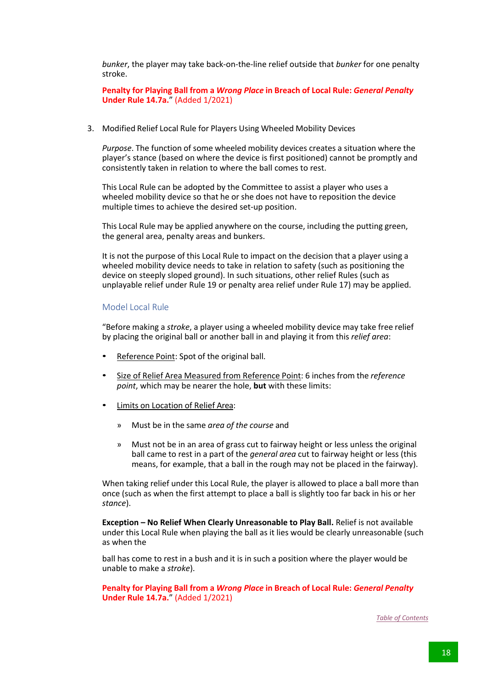*bunker*, the player may take back-on-the-line relief outside that *bunker* for one penalty stroke.

**Penalty for Playing Ball from a** *Wrong Place* **in Breach of Local Rule:** *General Penalty* **Under Rule 14.7a.**" (Added 1/2021)

3. Modified Relief Local Rule for Players Using Wheeled Mobility Devices

*Purpose*. The function of some wheeled mobility devices creates a situation where the player's stance (based on where the device is first positioned) cannot be promptly and consistently taken in relation to where the ball comes to rest.

This Local Rule can be adopted by the Committee to assist a player who uses a wheeled mobility device so that he or she does not have to reposition the device multiple times to achieve the desired set-up position.

This Local Rule may be applied anywhere on the course, including the putting green, the general area, penalty areas and bunkers.

It is not the purpose of this Local Rule to impact on the decision that a player using a wheeled mobility device needs to take in relation to safety (such as positioning the device on steeply sloped ground). In such situations, other relief Rules (such as unplayable relief under Rule 19 or penalty area relief under Rule 17) may be applied.

#### Model Local Rule

"Before making a *stroke*, a player using a wheeled mobility device may take free relief by placing the original ball or another ball in and playing it from this *relief area*:

- Reference Point: Spot of the original ball.
- Size of Relief Area Measured from Reference Point: 6 inches from the *reference point*, which may be nearer the hole, **but** with these limits:
- Limits on Location of Relief Area:
	- » Must be in the same *area of the course* and
	- » Must not be in an area of grass cut to fairway height or less unless the original ball came to rest in a part of the *general area* cut to fairway height or less (this means, for example, that a ball in the rough may not be placed in the fairway).

When taking relief under this Local Rule, the player is allowed to place a ball more than once (such as when the first attempt to place a ball is slightly too far back in his or her *stance*).

**Exception – No Relief When Clearly Unreasonable to Play Ball.** Relief is not available under this Local Rule when playing the ball as it lies would be clearly unreasonable (such as when the

ball has come to rest in a bush and it is in such a position where the player would be unable to make a *stroke*).

**Penalty for Playing Ball from a** *Wrong Place* **in Breach of Local Rule:** *General Penalty* **Under Rule 14.7a.**" (Added 1/2021)

*Table of Contents*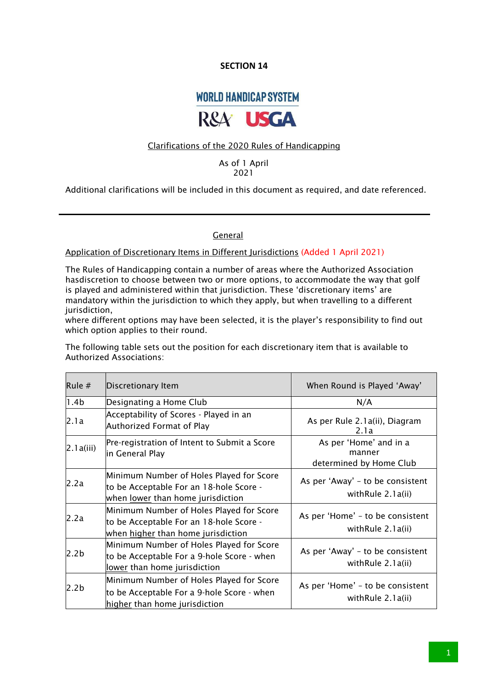## **WORLD HANDICAP SYSTEM**



#### Clarifications of the 2020 Rules of Handicapping

As of 1 April 2021

Additional clarifications will be included in this document as required, and date referenced.

#### **General**

#### Application of Discretionary Items in Different Jurisdictions (Added 1 April 2021)

The Rules of Handicapping contain a number of areas where the Authorized Association hasdiscretion to choose between two or more options, to accommodate the way that golf is played and administered within that jurisdiction. These 'discretionary items' are mandatory within the jurisdiction to which they apply, but when travelling to a different jurisdiction,

where different options may have been selected, it is the player's responsibility to find out which option applies to their round.

The following table sets out the position for each discretionary item that is available to Authorized Associations:

| Rule $#$         | Discretionary Item                                                                                                              | When Round is Played 'Away'                                 |
|------------------|---------------------------------------------------------------------------------------------------------------------------------|-------------------------------------------------------------|
| 1.4 <sub>b</sub> | Designating a Home Club                                                                                                         | N/A                                                         |
| 2.1a             | Acceptability of Scores - Played in an<br>Authorized Format of Play                                                             | As per Rule 2.1a(ii), Diagram<br>2.1a                       |
| 2.1a(iii)        | Pre-registration of Intent to Submit a Score<br>in General Play                                                                 | As per 'Home' and in a<br>manner<br>determined by Home Club |
| 2.2a             | Minimum Number of Holes Played for Score<br>to be Acceptable For an 18-hole Score -<br>when <u>lower</u> than home jurisdiction | As per 'Away' – to be consistent<br>with Rule 2.1 a(ii)     |
| 2.2a             | Minimum Number of Holes Played for Score<br>to be Acceptable For an 18-hole Score -<br>when higher than home jurisdiction       | As per 'Home' - to be consistent<br>with Rule 2.1 a(ii)     |
| 2.2b             | Minimum Number of Holes Played for Score<br>to be Acceptable For a 9-hole Score - when<br>lower than home jurisdiction          | As per 'Away' – to be consistent<br>with Rule 2.1 a(ii)     |
| 2.2b             | Minimum Number of Holes Played for Score<br>to be Acceptable For a 9-hole Score - when<br>higher than home jurisdiction         | As per 'Home' - to be consistent<br>withRule 2.1a(ii)       |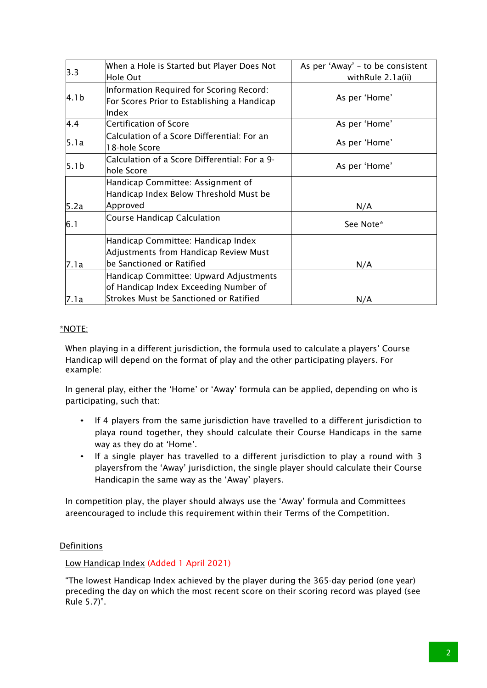| 3.3              | When a Hole is Started but Player Does Not<br>Hole Out                                                   | As per 'Away' - to be consistent<br>withRule 2.1a(ii) |
|------------------|----------------------------------------------------------------------------------------------------------|-------------------------------------------------------|
| 4.1b             | Information Required for Scoring Record:<br>For Scores Prior to Establishing a Handicap<br>Index         | As per 'Home'                                         |
| 4.4              | <b>Certification of Score</b>                                                                            | As per 'Home'                                         |
| 5.1a             | Calculation of a Score Differential: For an<br>18-hole Score                                             | As per 'Home'                                         |
| 5.1 <sub>b</sub> | Calculation of a Score Differential: For a 9-<br>hole Score                                              | As per 'Home'                                         |
| 5.2a             | Handicap Committee: Assignment of<br>Handicap Index Below Threshold Must be<br>Approved                  | N/A                                                   |
| 6.1              | <b>Course Handicap Calculation</b>                                                                       | See Note*                                             |
| 7.1a             | Handicap Committee: Handicap Index<br>Adjustments from Handicap Review Must<br>be Sanctioned or Ratified | N/A                                                   |
|                  | Handicap Committee: Upward Adjustments<br>of Handicap Index Exceeding Number of                          |                                                       |
| 7.1a             | Strokes Must be Sanctioned or Ratified                                                                   | N/A                                                   |

### \*NOTE:

When playing in a different jurisdiction, the formula used to calculate a players' Course Handicap will depend on the format of play and the other participating players. For example:

In general play, either the 'Home' or 'Away' formula can be applied, depending on who is participating, such that:

- If 4 players from the same jurisdiction have travelled to a different jurisdiction to playa round together, they should calculate their Course Handicaps in the same way as they do at 'Home'.
- If a single player has travelled to a different jurisdiction to play a round with 3 playersfrom the 'Away' jurisdiction, the single player should calculate their Course Handicapin the same way as the 'Away' players.

In competition play, the player should always use the 'Away' formula and Committees areencouraged to include this requirement within their Terms of the Competition.

#### Definitions

Low Handicap Index (Added 1 April 2021)

"The lowest Handicap Index achieved by the player during the 365-day period (one year) preceding the day on which the most recent score on their scoring record was played (see Rule 5.7)".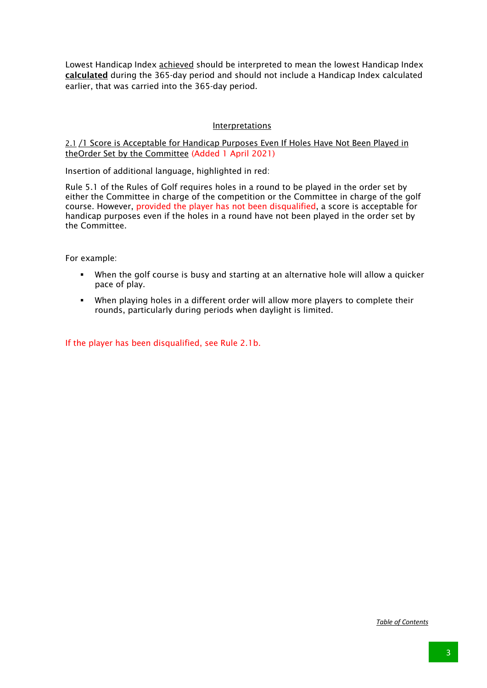Lowest Handicap Index **achieved** should be interpreted to mean the lowest Handicap Index calculated during the 365-day period and should not include a Handicap Index calculated earlier, that was carried into the 365-day period.

#### Interpretations

2.1 /1 Score is Acceptable for Handicap Purposes Even If Holes Have Not Been Played in theOrder Set by the Committee (Added 1 April 2021)

Insertion of additional language, highlighted in red:

Rule 5.1 of the Rules of Golf requires holes in a round to be played in the order set by either the Committee in charge of the competition or the Committee in charge of the golf course. However, provided the player has not been disqualified, a score is acceptable for handicap purposes even if the holes in a round have not been played in the order set by the Committee.

For example:

- When the golf course is busy and starting at an alternative hole will allow a quicker pace of play.
- § When playing holes in a different order will allow more players to complete their rounds, particularly during periods when daylight is limited.

If the player has been disqualified, see Rule 2.1b.

*Table of Contents*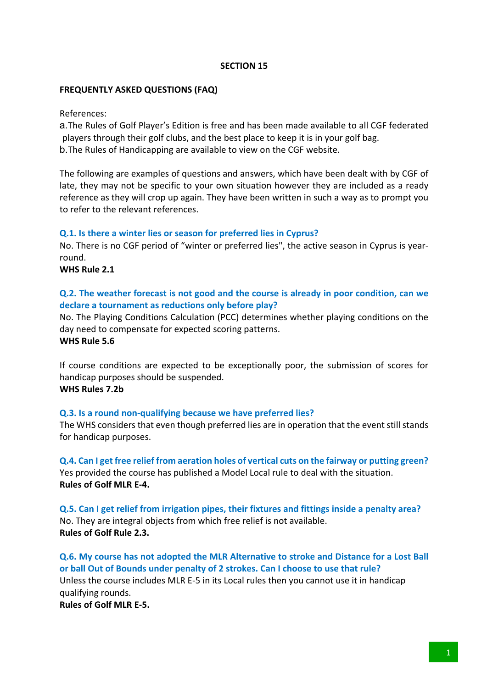#### **FREQUENTLY ASKED QUESTIONS (FAQ)**

References:

a.The Rules of Golf Player's Edition is free and has been made available to all CGF federated players through their golf clubs, and the best place to keep it is in your golf bag. b.The Rules of Handicapping are available to view on the CGF website.

The following are examples of questions and answers, which have been dealt with by CGF of late, they may not be specific to your own situation however they are included as a ready reference as they will crop up again. They have been written in such a way as to prompt you to refer to the relevant references.

#### **Q.1. Is there a winter lies or season for preferred lies in Cyprus?**

No. There is no CGF period of "winter or preferred lies", the active season in Cyprus is yearround.

**WHS Rule 2.1**

## **Q.2. The weather forecast is not good and the course is already in poor condition, can we declare a tournament as reductions only before play?**

No. The Playing Conditions Calculation (PCC) determines whether playing conditions on the day need to compensate for expected scoring patterns. **WHS Rule 5.6** 

If course conditions are expected to be exceptionally poor, the submission of scores for handicap purposes should be suspended. **WHS Rules 7.2b**

#### **Q.3. Is a round non-qualifying because we have preferred lies?**

The WHS considers that even though preferred lies are in operation that the event still stands for handicap purposes.

**Q.4. Can I get free relief from aeration holes of vertical cuts on the fairway or putting green?** Yes provided the course has published a Model Local rule to deal with the situation. **Rules of Golf MLR E-4.**

**Q.5. Can I get relief from irrigation pipes, their fixtures and fittings inside a penalty area?** No. They are integral objects from which free relief is not available. **Rules of Golf Rule 2.3.** 

**Q.6. My course has not adopted the MLR Alternative to stroke and Distance for a Lost Ball or ball Out of Bounds under penalty of 2 strokes. Can I choose to use that rule?** Unless the course includes MLR E-5 in its Local rules then you cannot use it in handicap qualifying rounds.

**Rules of Golf MLR E-5.**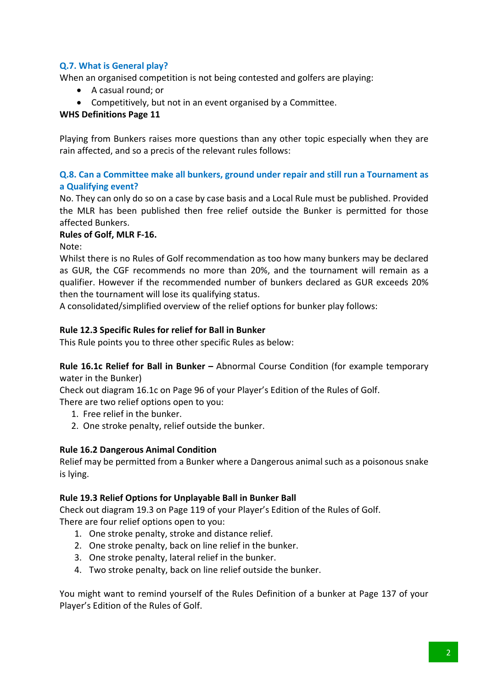## **Q.7. What is General play?**

When an organised competition is not being contested and golfers are playing:

- A casual round; or
- Competitively, but not in an event organised by a Committee.

## **WHS Definitions Page 11**

Playing from Bunkers raises more questions than any other topic especially when they are rain affected, and so a precis of the relevant rules follows:

## **Q.8. Can a Committee make all bunkers, ground under repair and still run a Tournament as a Qualifying event?**

No. They can only do so on a case by case basis and a Local Rule must be published. Provided the MLR has been published then free relief outside the Bunker is permitted for those affected Bunkers.

#### **Rules of Golf, MLR F-16.**

Note:

Whilst there is no Rules of Golf recommendation as too how many bunkers may be declared as GUR, the CGF recommends no more than 20%, and the tournament will remain as a qualifier. However if the recommended number of bunkers declared as GUR exceeds 20% then the tournament will lose its qualifying status.

A consolidated/simplified overview of the relief options for bunker play follows:

## **Rule 12.3 Specific Rules for relief for Ball in Bunker**

This Rule points you to three other specific Rules as below:

**Rule 16.1c Relief for Ball in Bunker –** Abnormal Course Condition (for example temporary water in the Bunker)

Check out diagram 16.1c on Page 96 of your Player's Edition of the Rules of Golf.

There are two relief options open to you:

- 1. Free relief in the bunker.
- 2. One stroke penalty, relief outside the bunker.

#### **Rule 16.2 Dangerous Animal Condition**

Relief may be permitted from a Bunker where a Dangerous animal such as a poisonous snake is lying.

#### **Rule 19.3 Relief Options for Unplayable Ball in Bunker Ball**

Check out diagram 19.3 on Page 119 of your Player's Edition of the Rules of Golf. There are four relief options open to you:

- 1. One stroke penalty, stroke and distance relief.
- 2. One stroke penalty, back on line relief in the bunker.
- 3. One stroke penalty, lateral relief in the bunker.
- 4. Two stroke penalty, back on line relief outside the bunker.

You might want to remind yourself of the Rules Definition of a bunker at Page 137 of your Player's Edition of the Rules of Golf.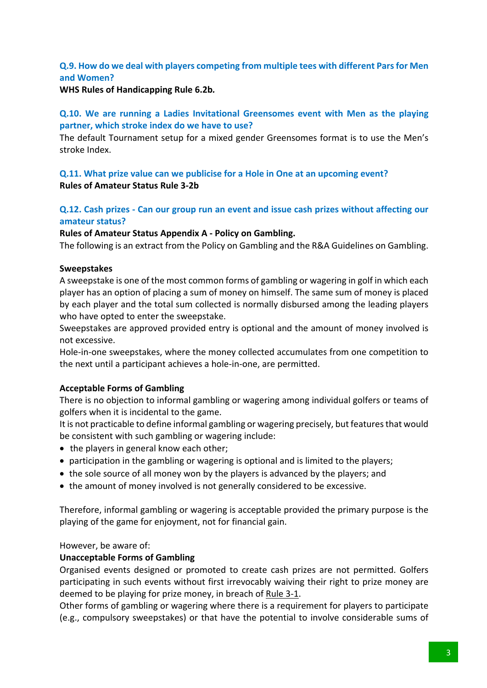## **Q.9. How do we deal with players competing from multiple tees with different Pars for Men and Women?**

#### **WHS Rules of Handicapping Rule 6.2b***.*

## **Q.10. We are running a Ladies Invitational Greensomes event with Men as the playing partner, which stroke index do we have to use?**

The default Tournament setup for a mixed gender Greensomes format is to use the Men's stroke Index.

## **Q.11. What prize value can we publicise for a Hole in One at an upcoming event? Rules of Amateur Status Rule 3-2b**

## **Q.12. Cash prizes - Can our group run an event and issue cash prizes without affecting our amateur status?**

#### **Rules of Amateur Status Appendix A - Policy on Gambling.**

The following is an extract from the Policy on Gambling and the R&A Guidelines on Gambling.

#### **Sweepstakes**

A sweepstake is one of the most common forms of gambling or wagering in golf in which each player has an option of placing a sum of money on himself. The same sum of money is placed by each player and the total sum collected is normally disbursed among the leading players who have opted to enter the sweepstake.

Sweepstakes are approved provided entry is optional and the amount of money involved is not excessive.

Hole-in-one sweepstakes, where the money collected accumulates from one competition to the next until a participant achieves a hole-in-one, are permitted.

#### **Acceptable Forms of Gambling**

There is no objection to informal gambling or wagering among individual golfers or teams of golfers when it is incidental to the game.

It is not practicable to define informal gambling or wagering precisely, but features that would be consistent with such gambling or wagering include:

- the players in general know each other;
- participation in the gambling or wagering is optional and is limited to the players;
- the sole source of all money won by the players is advanced by the players; and
- the amount of money involved is not generally considered to be excessive.

Therefore, informal gambling or wagering is acceptable provided the primary purpose is the playing of the game for enjoyment, not for financial gain.

However, be aware of:

#### **Unacceptable Forms of Gambling**

Organised events designed or promoted to create cash prizes are not permitted. Golfers participating in such events without first irrevocably waiving their right to prize money are deemed to be playing for prize money, in breach of Rule 3-1.

Other forms of gambling or wagering where there is a requirement for players to participate (e.g., compulsory sweepstakes) or that have the potential to involve considerable sums of